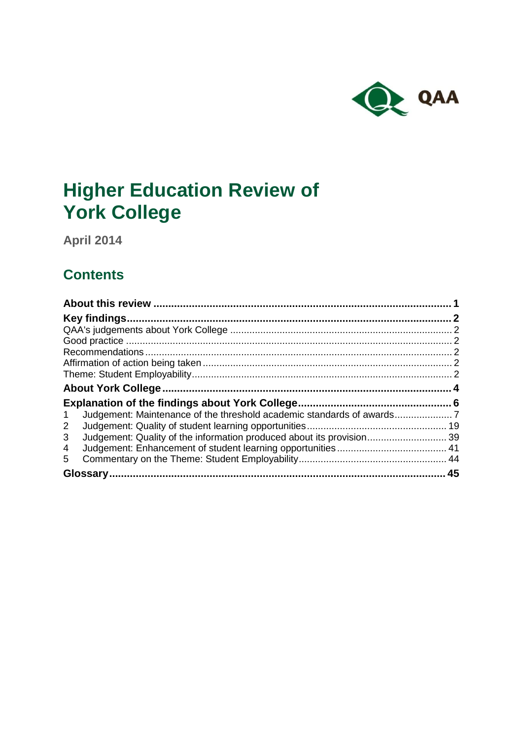

# **Higher Education Review of York College**

**April 2014**

## **Contents**

| Judgement: Maintenance of the threshold academic standards of awards<br>$\mathbf{1}$ |  |
|--------------------------------------------------------------------------------------|--|
| $\mathbf{2}$                                                                         |  |
| 3                                                                                    |  |
| 4                                                                                    |  |
| 5.                                                                                   |  |
|                                                                                      |  |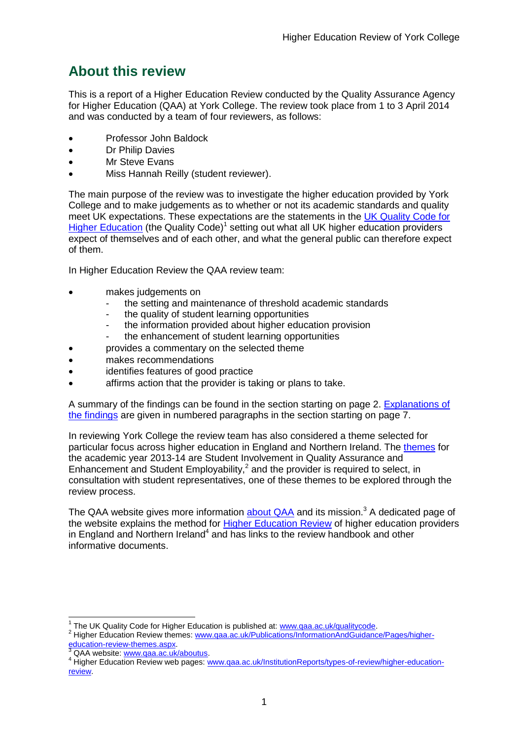## <span id="page-1-0"></span>**About this review**

This is a report of a Higher Education Review conducted by the Quality Assurance Agency for Higher Education (QAA) at [York](#page-3-0) College. The review took place from 1 to 3 April 2014 and was conducted by a team of four reviewers, as follows:

- Professor John Baldock
- Dr Philip Davies
- Mr Steve Evans
- Miss Hannah Reilly (student reviewer).

The main purpose of the review was to investigate the higher education provided by York College and to make judgements as to whether or not its academic standards and quality meet UK expectations. These expectations are the statements in the UK [Quality](http://www.qaa.ac.uk/AssuringStandardsAndQuality/quality-code/Pages/default.aspx) Code for Higher [Education](http://www.qaa.ac.uk/AssuringStandardsAndQuality/quality-code/Pages/default.aspx) (the Quality Code)<sup>1</sup> setting out what all UK higher [education](http://newlive.qaa.ac.uk/AboutUs/glossary/Pages/glossary-h.aspx#h2.1) providers expect of themselves and of each other, and what the general public can therefore expect of them.

In Higher Education Review the QAA review team:

- makes judgements on
	- the setting and maintenance of threshold academic standards
	- the quality of student learning opportunities
	- the information provided about higher education provision
	- the enhancement of student learning opportunities
- provides a commentary on the selected theme
- makes recommendations
- identifies features of good practice
- affirms action that the provider is taking or plans to take.

A summary of the findings can be found in the section starting on page 2. [Explanations](#page-5-0) of the [findings](#page-5-0) are given in numbered paragraphs in the section starting on page 7.

In reviewing York College the review team has also considered a theme selected for particular focus across higher education in England and Northern Ireland. The [themes](http://www.qaa.ac.uk/Publications/InformationAndGuidance/Pages/higher-education-review-themes.aspx) for the academic year 2013-14 are Student Involvement in Quality Assurance and Enhancement and Student Employability, $<sup>2</sup>$  and the provider is required to select, in</sup> consultation with student representatives, one of these themes to be explored through the review process.

The QAA website gives more information **[about](http://www.qaa.ac.uk/aboutus/pages/default.aspx) QAA** and its mission.<sup>3</sup> A dedicated page of the website explains the method for Higher [Education](http://www.qaa.ac.uk/InstitutionReports/types-of-review/higher-education-review/Pages/default.aspx) Review of higher education providers in England and Northern Ireland<sup>4</sup> and has links to the review handbook and other informative documents.

 1 The UK Quality Code for Higher Education is published at: [www.qaa.ac.uk/qualitycode.](http://www.qaa.ac.uk/qualitycode)

<sup>2</sup> Higher Education Review themes: [www.qaa.ac.uk/Publications/InformationAndGuidance/Pages/higher](http://www.qaa.ac.uk/Publications/InformationAndGuidance/Pages/higher-education-review-themes.aspx)[education-review-themes.aspx.](http://www.qaa.ac.uk/Publications/InformationAndGuidance/Pages/higher-education-review-themes.aspx)

<sup>3</sup> QAA website: [www.qaa.ac.uk/aboutus.](http://www.qaa.ac.uk/aboutus/pages/default.aspx)

<sup>4</sup> Higher Education Review web pages: [www.qaa.ac.uk/InstitutionReports/types-of-review/higher-education](http://www.qaa.ac.uk/InstitutionReports/types-of-review/higher-education-review)[review.](http://www.qaa.ac.uk/InstitutionReports/types-of-review/higher-education-review)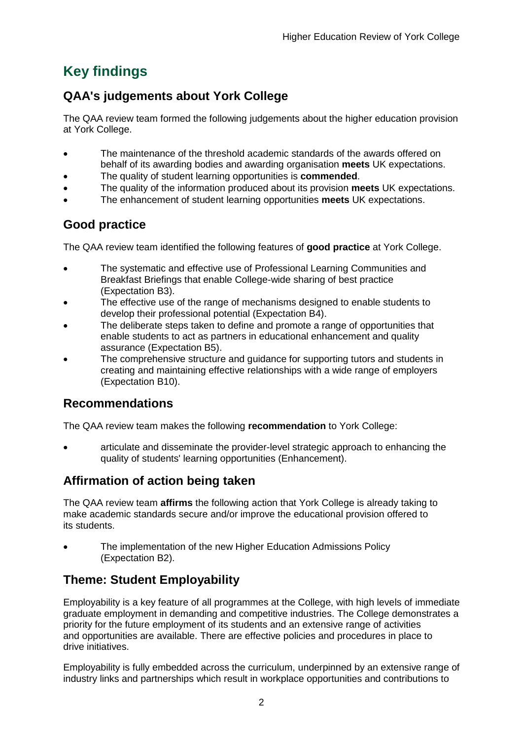## <span id="page-2-0"></span>**Key findings**

## <span id="page-2-1"></span>**QAA's judgements about York College**

The QAA review team formed the following judgements about the higher education provision at York College.

- The maintenance of the threshold academic standards of the awards offered on behalf of its awarding bodies and awarding organisation **meets** UK expectations.
- The quality of student learning opportunities is **commended**.
- The quality of the information produced about its provision **meets** UK expectations.
- The enhancement of student learning opportunities **meets** UK expectations.

## <span id="page-2-2"></span>**Good practice**

The QAA review team identified the following features of **good practice** at York College.

- The systematic and effective use of Professional Learning Communities and Breakfast Briefings that enable College-wide sharing of best practice (Expectation B3).
- The effective use of the range of mechanisms designed to enable students to develop their professional potential (Expectation B4).
- The deliberate steps taken to define and promote a range of opportunities that enable students to act as partners in educational enhancement and quality assurance (Expectation B5).
- The comprehensive structure and guidance for supporting tutors and students in creating and maintaining effective relationships with a wide range of employers (Expectation B10).

## <span id="page-2-3"></span>**Recommendations**

The QAA review team makes the following **recommendation** to York College:

 articulate and disseminate the provider-level strategic approach to enhancing the quality of students' learning opportunities (Enhancement).

## <span id="page-2-4"></span>**Affirmation of action being taken**

The QAA review team **affirms** the following action that York College is already taking to make academic standards secure and/or improve the educational provision offered to its students.

 The implementation of the new Higher Education Admissions Policy (Expectation B2).

## <span id="page-2-5"></span>**Theme: Student Employability**

Employability is a key feature of all programmes at the College, with high levels of immediate graduate employment in demanding and competitive industries. The College demonstrates a priority for the future employment of its students and an extensive range of activities and opportunities are available. There are effective policies and procedures in place to drive initiatives.

Employability is fully embedded across the curriculum, underpinned by an extensive range of industry links and partnerships which result in workplace opportunities and contributions to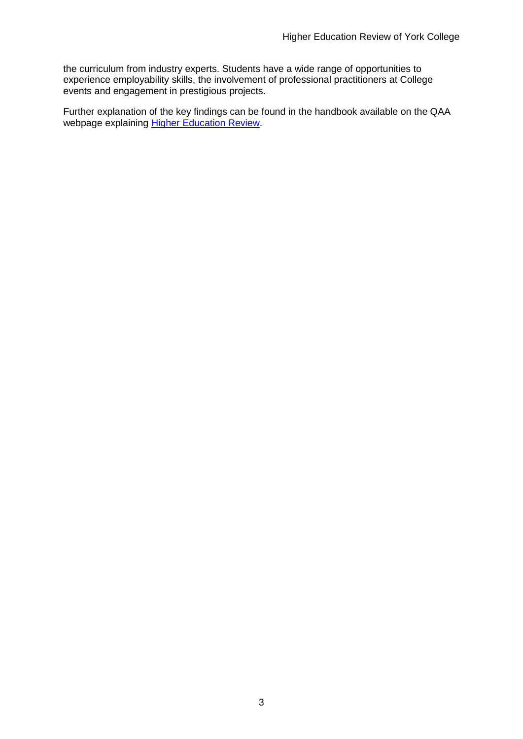the curriculum from industry experts. Students have a wide range of opportunities to experience employability skills, the involvement of professional practitioners at College events and engagement in prestigious projects.

<span id="page-3-0"></span>Further explanation of the key findings can be found in the handbook available on the QAA webpage explaining Higher [Education](http://www.qaa.ac.uk/InstitutionReports/types-of-review/higher-education-review) Review.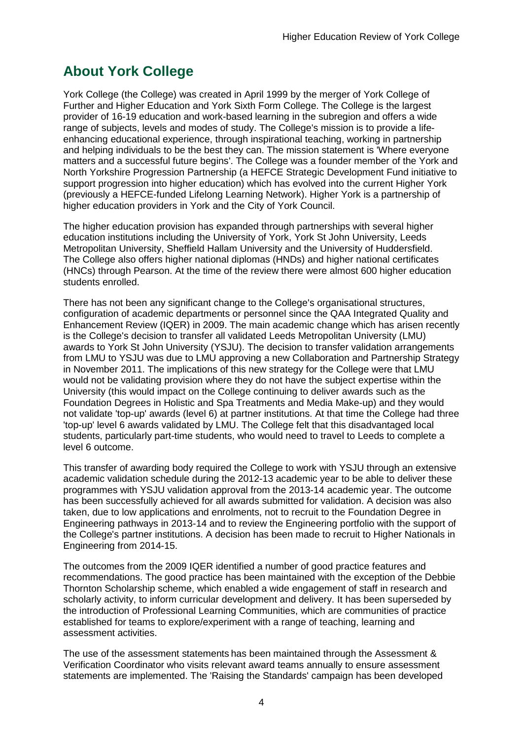## <span id="page-4-0"></span>**About York College**

York College (the College) was created in April 1999 by the merger of York College of Further and Higher Education and York Sixth Form College. The College is the largest provider of 16-19 education and work-based learning in the subregion and offers a wide range of subjects, levels and modes of study. The College's mission is to provide a lifeenhancing educational experience, through inspirational teaching, working in partnership and helping individuals to be the best they can. The mission statement is 'Where everyone matters and a successful future begins'. The College was a founder member of the York and North Yorkshire Progression Partnership (a HEFCE Strategic Development Fund initiative to support progression into higher education) which has evolved into the current Higher York (previously a HEFCE-funded Lifelong Learning Network). Higher York is a partnership of higher education providers in York and the City of York Council.

The higher education provision has expanded through partnerships with several higher education institutions including the University of York, York St John University, Leeds Metropolitan University, Sheffield Hallam University and the University of Huddersfield. The College also offers higher national diplomas (HNDs) and higher national certificates (HNCs) through Pearson. At the time of the review there were almost 600 higher education students enrolled.

There has not been any significant change to the College's organisational structures, configuration of academic departments or personnel since the QAA Integrated Quality and Enhancement Review (IQER) in 2009. The main academic change which has arisen recently is the College's decision to transfer all validated Leeds Metropolitan University (LMU) awards to York St John University (YSJU). The decision to transfer validation arrangements from LMU to YSJU was due to LMU approving a new Collaboration and Partnership Strategy in November 2011. The implications of this new strategy for the College were that LMU would not be validating provision where they do not have the subject expertise within the University (this would impact on the College continuing to deliver awards such as the Foundation Degrees in Holistic and Spa Treatments and Media Make-up) and they would not validate 'top-up' awards (level 6) at partner institutions. At that time the College had three 'top-up' level 6 awards validated by LMU. The College felt that this disadvantaged local students, particularly part-time students, who would need to travel to Leeds to complete a level 6 outcome.

This transfer of awarding body required the College to work with YSJU through an extensive academic validation schedule during the 2012-13 academic year to be able to deliver these programmes with YSJU validation approval from the 2013-14 academic year. The outcome has been successfully achieved for all awards submitted for validation. A decision was also taken, due to low applications and enrolments, not to recruit to the Foundation Degree in Engineering pathways in 2013-14 and to review the Engineering portfolio with the support of the College's partner institutions. A decision has been made to recruit to Higher Nationals in Engineering from 2014-15.

The outcomes from the 2009 IQER identified a number of good practice features and recommendations. The good practice has been maintained with the exception of the Debbie Thornton Scholarship scheme, which enabled a wide engagement of staff in research and scholarly activity, to inform curricular development and delivery. It has been superseded by the introduction of Professional Learning Communities, which are communities of practice established for teams to explore/experiment with a range of teaching, learning and assessment activities.

The use of the assessment statements has been maintained through the Assessment & Verification Coordinator who visits relevant award teams annually to ensure assessment statements are implemented. The 'Raising the Standards' campaign has been developed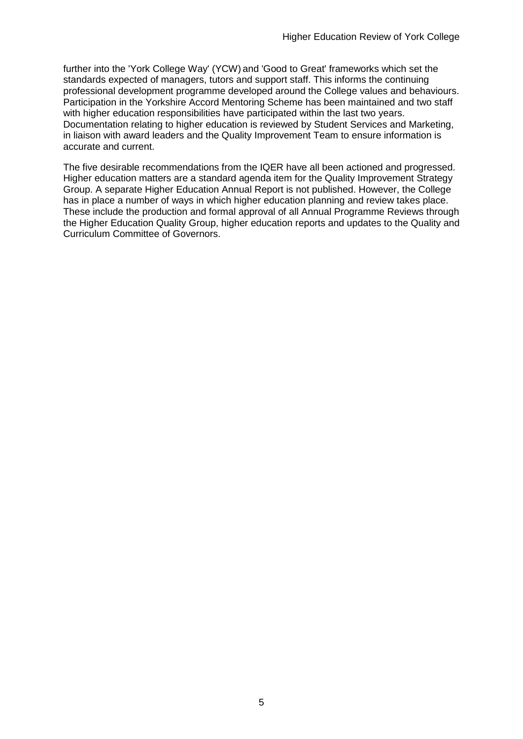further into the 'York College Way' (YCW) and 'Good to Great' frameworks which set the standards expected of managers, tutors and support staff. This informs the continuing professional development programme developed around the College values and behaviours. Participation in the Yorkshire Accord Mentoring Scheme has been maintained and two staff with higher education responsibilities have participated within the last two years. Documentation relating to higher education is reviewed by Student Services and Marketing, in liaison with award leaders and the Quality Improvement Team to ensure information is accurate and current.

<span id="page-5-0"></span>The five desirable recommendations from the IQER have all been actioned and progressed. Higher education matters are a standard agenda item for the Quality Improvement Strategy Group. A separate Higher Education Annual Report is not published. However, the College has in place a number of ways in which higher education planning and review takes place. These include the production and formal approval of all Annual Programme Reviews through the Higher Education Quality Group, higher education reports and updates to the Quality and Curriculum Committee of Governors.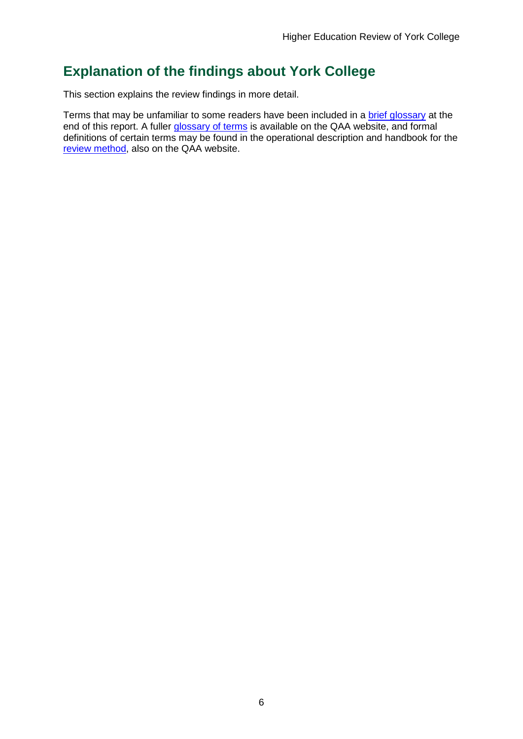## <span id="page-6-0"></span>**Explanation of the findings about York College**

This section explains the review findings in more detail.

Terms that may be unfamiliar to some readers have been included in a brief glossary at the end of this report. A fuller [glossary](http://www.qaa.ac.uk/AboutUs/glossary/Pages/default.aspx) of terms is available on the QAA website, and formal definitions of certain terms may be found in the operational description and handbook for the review [method,](http://www.qaa.ac.uk/InstitutionReports/types-of-review/higher-education-review/Pages/default.aspx) also on the QAA website.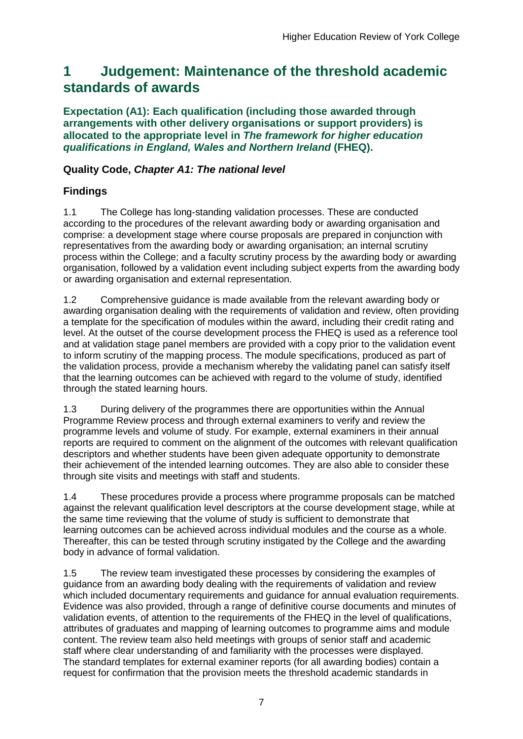## <span id="page-7-0"></span>**1 Judgement: Maintenance of the threshold academic standards of awards**

**Expectation (A1): Each qualification (including those awarded through arrangements with other delivery organisations or support providers) is allocated to the appropriate level in** *The framework for higher education qualifications in England, Wales and Northern Ireland* **(FHEQ).**

### **Quality Code,** *Chapter A1: The national level*

## **Findings**

1.1 The College has long-standing validation processes. These are conducted according to the procedures of the relevant awarding body or awarding organisation and comprise: a development stage where course proposals are prepared in conjunction with representatives from the awarding body or awarding organisation; an internal scrutiny process within the College; and a faculty scrutiny process by the awarding body or awarding organisation, followed by a validation event including subject experts from the awarding body or awarding organisation and external representation.

1.2 Comprehensive guidance is made available from the relevant awarding body or awarding organisation dealing with the requirements of validation and review, often providing a template for the specification of modules within the award, including their credit rating and level. At the outset of the course development process the FHEQ is used as a reference tool and at validation stage panel members are provided with a copy prior to the validation event to inform scrutiny of the mapping process. The module specifications, produced as part of the validation process, provide a mechanism whereby the validating panel can satisfy itself that the learning outcomes can be achieved with regard to the volume of study, identified through the stated learning hours.

1.3 During delivery of the programmes there are opportunities within the Annual Programme Review process and through external examiners to verify and review the programme levels and volume of study. For example, external examiners in their annual reports are required to comment on the alignment of the outcomes with relevant qualification descriptors and whether students have been given adequate opportunity to demonstrate their achievement of the intended learning outcomes. They are also able to consider these through site visits and meetings with staff and students.

1.4 These procedures provide a process where programme proposals can be matched against the relevant qualification level descriptors at the course development stage, while at the same time reviewing that the volume of study is sufficient to demonstrate that learning outcomes can be achieved across individual modules and the course as a whole. Thereafter, this can be tested through scrutiny instigated by the College and the awarding body in advance of formal validation.

1.5 The review team investigated these processes by considering the examples of guidance from an awarding body dealing with the requirements of validation and review which included documentary requirements and quidance for annual evaluation requirements. Evidence was also provided, through a range of definitive course documents and minutes of validation events, of attention to the requirements of the FHEQ in the level of qualifications, attributes of graduates and mapping of learning outcomes to programme aims and module content. The review team also held meetings with groups of senior staff and academic staff where clear understanding of and familiarity with the processes were displayed. The standard templates for external examiner reports (for all awarding bodies) contain a request for confirmation that the provision meets the threshold academic standards in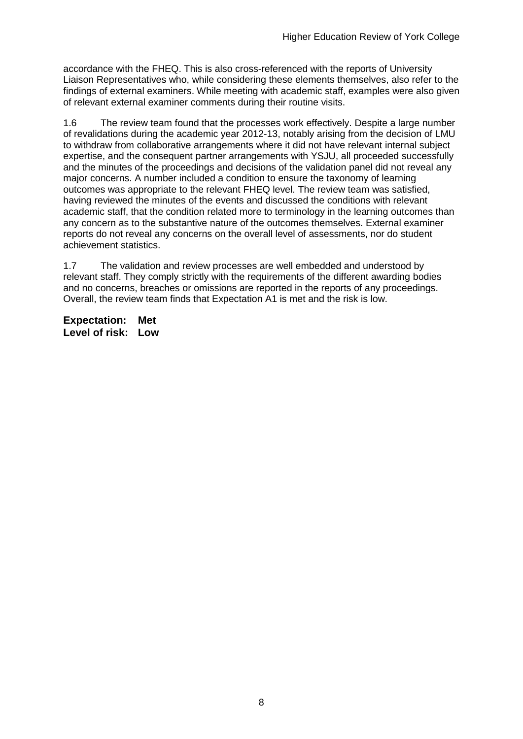accordance with the FHEQ. This is also cross-referenced with the reports of University Liaison Representatives who, while considering these elements themselves, also refer to the findings of external examiners. While meeting with academic staff, examples were also given of relevant external examiner comments during their routine visits.

1.6 The review team found that the processes work effectively. Despite a large number of revalidations during the academic year 2012-13, notably arising from the decision of LMU to withdraw from collaborative arrangements where it did not have relevant internal subject expertise, and the consequent partner arrangements with YSJU, all proceeded successfully and the minutes of the proceedings and decisions of the validation panel did not reveal any major concerns. A number included a condition to ensure the taxonomy of learning outcomes was appropriate to the relevant FHEQ level. The review team was satisfied, having reviewed the minutes of the events and discussed the conditions with relevant academic staff, that the condition related more to terminology in the learning outcomes than any concern as to the substantive nature of the outcomes themselves. External examiner reports do not reveal any concerns on the overall level of assessments, nor do student achievement statistics.

1.7 The validation and review processes are well embedded and understood by relevant staff. They comply strictly with the requirements of the different awarding bodies and no concerns, breaches or omissions are reported in the reports of any proceedings. Overall, the review team finds that Expectation A1 is met and the risk is low.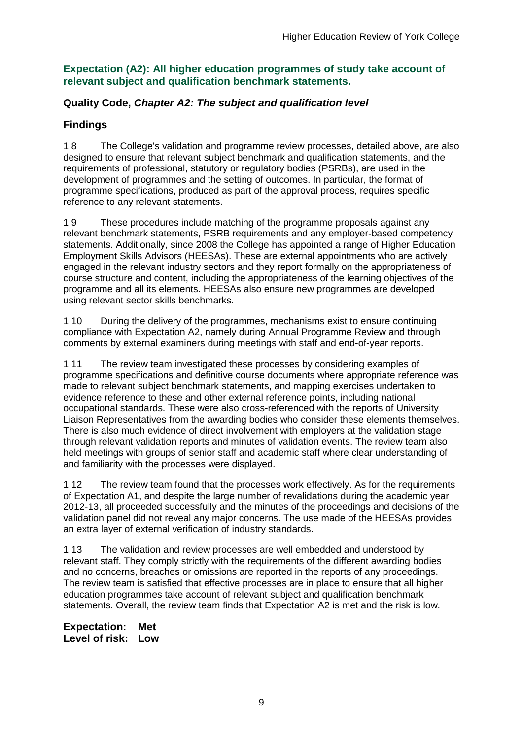#### **Expectation (A2): All higher education programmes of study take account of relevant subject and qualification benchmark statements.**

### **Quality Code,** *Chapter A2: The subject and qualification level*

## **Findings**

1.8 The College's validation and programme review processes, detailed above, are also designed to ensure that relevant subject benchmark and qualification statements, and the requirements of professional, statutory or regulatory bodies (PSRBs), are used in the development of programmes and the setting of outcomes. In particular, the format of programme specifications, produced as part of the approval process, requires specific reference to any relevant statements.

1.9 These procedures include matching of the programme proposals against any relevant benchmark statements, PSRB requirements and any employer-based competency statements. Additionally, since 2008 the College has appointed a range of Higher Education Employment Skills Advisors (HEESAs). These are external appointments who are actively engaged in the relevant industry sectors and they report formally on the appropriateness of course structure and content, including the appropriateness of the learning objectives of the programme and all its elements. HEESAs also ensure new programmes are developed using relevant sector skills benchmarks.

1.10 During the delivery of the programmes, mechanisms exist to ensure continuing compliance with Expectation A2, namely during Annual Programme Review and through comments by external examiners during meetings with staff and end-of-year reports.

1.11 The review team investigated these processes by considering examples of programme specifications and definitive course documents where appropriate reference was made to relevant subject benchmark statements, and mapping exercises undertaken to evidence reference to these and other external reference points, including national occupational standards. These were also cross-referenced with the reports of University Liaison Representatives from the awarding bodies who consider these elements themselves. There is also much evidence of direct involvement with employers at the validation stage through relevant validation reports and minutes of validation events. The review team also held meetings with groups of senior staff and academic staff where clear understanding of and familiarity with the processes were displayed.

1.12 The review team found that the processes work effectively. As for the requirements of Expectation A1, and despite the large number of revalidations during the academic year 2012-13, all proceeded successfully and the minutes of the proceedings and decisions of the validation panel did not reveal any major concerns. The use made of the HEESAs provides an extra layer of external verification of industry standards.

1.13 The validation and review processes are well embedded and understood by relevant staff. They comply strictly with the requirements of the different awarding bodies and no concerns, breaches or omissions are reported in the reports of any proceedings. The review team is satisfied that effective processes are in place to ensure that all higher education programmes take account of relevant subject and qualification benchmark statements. Overall, the review team finds that Expectation A2 is met and the risk is low.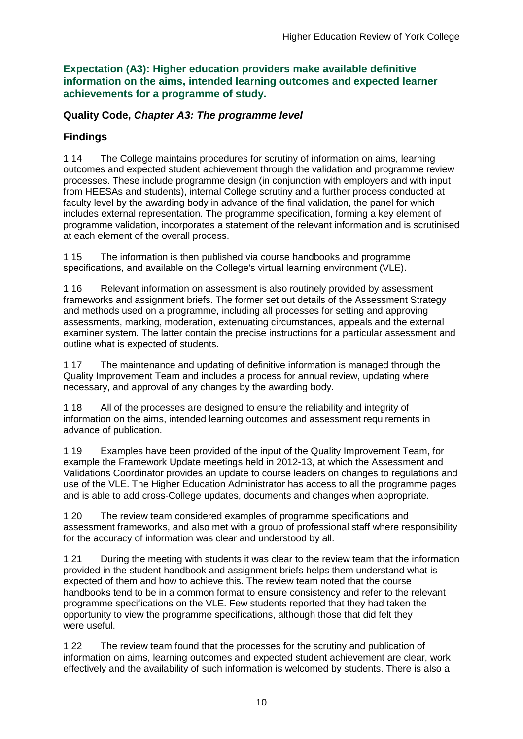**Expectation (A3): Higher education providers make available definitive information on the aims, intended learning outcomes and expected learner achievements for a programme of study.**

#### **Quality Code,** *Chapter A3: The programme level*

### **Findings**

1.14 The College maintains procedures for scrutiny of information on aims, learning outcomes and expected student achievement through the validation and programme review processes. These include programme design (in conjunction with employers and with input from HEESAs and students), internal College scrutiny and a further process conducted at faculty level by the awarding body in advance of the final validation, the panel for which includes external representation. The programme specification, forming a key element of programme validation, incorporates a statement of the relevant information and is scrutinised at each element of the overall process.

1.15 The information is then published via course handbooks and programme specifications, and available on the College's virtual learning environment (VLE).

1.16 Relevant information on assessment is also routinely provided by assessment frameworks and assignment briefs. The former set out details of the Assessment Strategy and methods used on a programme, including all processes for setting and approving assessments, marking, moderation, extenuating circumstances, appeals and the external examiner system. The latter contain the precise instructions for a particular assessment and outline what is expected of students.

1.17 The maintenance and updating of definitive information is managed through the Quality Improvement Team and includes a process for annual review, updating where necessary, and approval of any changes by the awarding body.

1.18 All of the processes are designed to ensure the reliability and integrity of information on the aims, intended learning outcomes and assessment requirements in advance of publication.

1.19 Examples have been provided of the input of the Quality Improvement Team, for example the Framework Update meetings held in 2012-13, at which the Assessment and Validations Coordinator provides an update to course leaders on changes to regulations and use of the VLE. The Higher Education Administrator has access to all the programme pages and is able to add cross-College updates, documents and changes when appropriate.

1.20 The review team considered examples of programme specifications and assessment frameworks, and also met with a group of professional staff where responsibility for the accuracy of information was clear and understood by all.

1.21 During the meeting with students it was clear to the review team that the information provided in the student handbook and assignment briefs helps them understand what is expected of them and how to achieve this. The review team noted that the course handbooks tend to be in a common format to ensure consistency and refer to the relevant programme specifications on the VLE. Few students reported that they had taken the opportunity to view the programme specifications, although those that did felt they were useful.

1.22 The review team found that the processes for the scrutiny and publication of information on aims, learning outcomes and expected student achievement are clear, work effectively and the availability of such information is welcomed by students. There is also a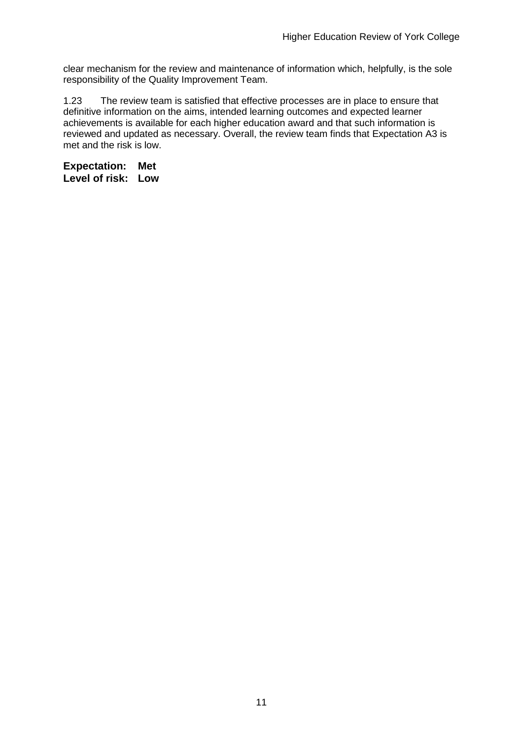clear mechanism for the review and maintenance of information which, helpfully, is the sole responsibility of the Quality Improvement Team.

1.23 The review team is satisfied that effective processes are in place to ensure that definitive information on the aims, intended learning outcomes and expected learner achievements is available for each higher education award and that such information is reviewed and updated as necessary. Overall, the review team finds that Expectation A3 is met and the risk is low.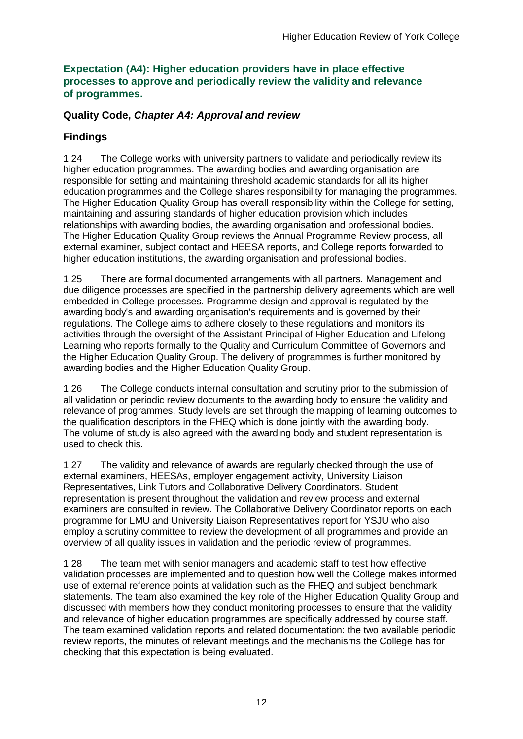#### **Expectation (A4): Higher education providers have in place effective processes to approve and periodically review the validity and relevance of programmes.**

### **Quality Code,** *Chapter A4: Approval and review*

## **Findings**

1.24 The College works with university partners to validate and periodically review its higher education programmes. The awarding bodies and awarding organisation are responsible for setting and maintaining threshold academic standards for all its higher education programmes and the College shares responsibility for managing the programmes. The Higher Education Quality Group has overall responsibility within the College for setting, maintaining and assuring standards of higher education provision which includes relationships with awarding bodies, the awarding organisation and professional bodies. The Higher Education Quality Group reviews the Annual Programme Review process, all external examiner, subject contact and HEESA reports, and College reports forwarded to higher education institutions, the awarding organisation and professional bodies.

1.25 There are formal documented arrangements with all partners. Management and due diligence processes are specified in the partnership delivery agreements which are well embedded in College processes. Programme design and approval is regulated by the awarding body's and awarding organisation's requirements and is governed by their regulations. The College aims to adhere closely to these regulations and monitors its activities through the oversight of the Assistant Principal of Higher Education and Lifelong Learning who reports formally to the Quality and Curriculum Committee of Governors and the Higher Education Quality Group. The delivery of programmes is further monitored by awarding bodies and the Higher Education Quality Group.

1.26 The College conducts internal consultation and scrutiny prior to the submission of all validation or periodic review documents to the awarding body to ensure the validity and relevance of programmes. Study levels are set through the mapping of learning outcomes to the qualification descriptors in the FHEQ which is done jointly with the awarding body. The volume of study is also agreed with the awarding body and student representation is used to check this.

1.27 The validity and relevance of awards are regularly checked through the use of external examiners, HEESAs, employer engagement activity, University Liaison Representatives, Link Tutors and Collaborative Delivery Coordinators. Student representation is present throughout the validation and review process and external examiners are consulted in review. The Collaborative Delivery Coordinator reports on each programme for LMU and University Liaison Representatives report for YSJU who also employ a scrutiny committee to review the development of all programmes and provide an overview of all quality issues in validation and the periodic review of programmes.

1.28 The team met with senior managers and academic staff to test how effective validation processes are implemented and to question how well the College makes informed use of external reference points at validation such as the FHEQ and subject benchmark statements. The team also examined the key role of the Higher Education Quality Group and discussed with members how they conduct monitoring processes to ensure that the validity and relevance of higher education programmes are specifically addressed by course staff. The team examined validation reports and related documentation: the two available periodic review reports, the minutes of relevant meetings and the mechanisms the College has for checking that this expectation is being evaluated.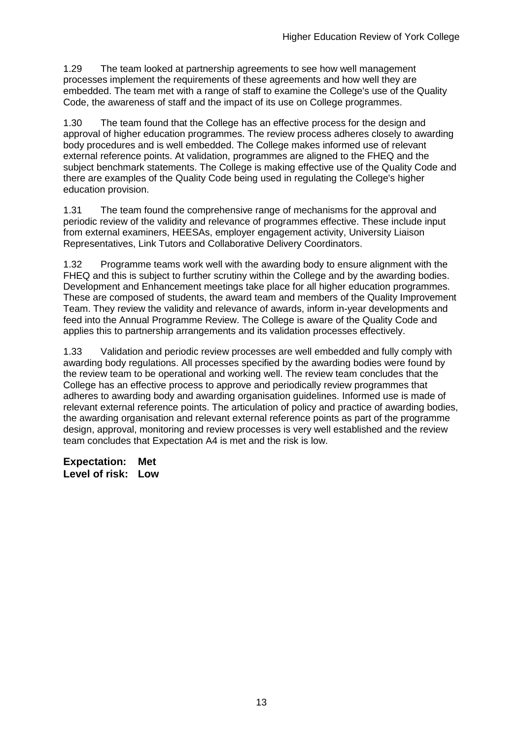1.29 The team looked at partnership agreements to see how well management processes implement the requirements of these agreements and how well they are embedded. The team met with a range of staff to examine the College's use of the Quality Code, the awareness of staff and the impact of its use on College programmes.

1.30 The team found that the College has an effective process for the design and approval of higher education programmes. The review process adheres closely to awarding body procedures and is well embedded. The College makes informed use of relevant external reference points. At validation, programmes are aligned to the FHEQ and the subject benchmark statements. The College is making effective use of the Quality Code and there are examples of the Quality Code being used in regulating the College's higher education provision.

1.31 The team found the comprehensive range of mechanisms for the approval and periodic review of the validity and relevance of programmes effective. These include input from external examiners, HEESAs, employer engagement activity, University Liaison Representatives, Link Tutors and Collaborative Delivery Coordinators.

1.32 Programme teams work well with the awarding body to ensure alignment with the FHEQ and this is subject to further scrutiny within the College and by the awarding bodies. Development and Enhancement meetings take place for all higher education programmes. These are composed of students, the award team and members of the Quality Improvement Team. They review the validity and relevance of awards, inform in-year developments and feed into the Annual Programme Review. The College is aware of the Quality Code and applies this to partnership arrangements and its validation processes effectively.

1.33 Validation and periodic review processes are well embedded and fully comply with awarding body regulations. All processes specified by the awarding bodies were found by the review team to be operational and working well. The review team concludes that the College has an effective process to approve and periodically review programmes that adheres to awarding body and awarding organisation guidelines. Informed use is made of relevant external reference points. The articulation of policy and practice of awarding bodies, the awarding organisation and relevant external reference points as part of the programme design, approval, monitoring and review processes is very well established and the review team concludes that Expectation A4 is met and the risk is low.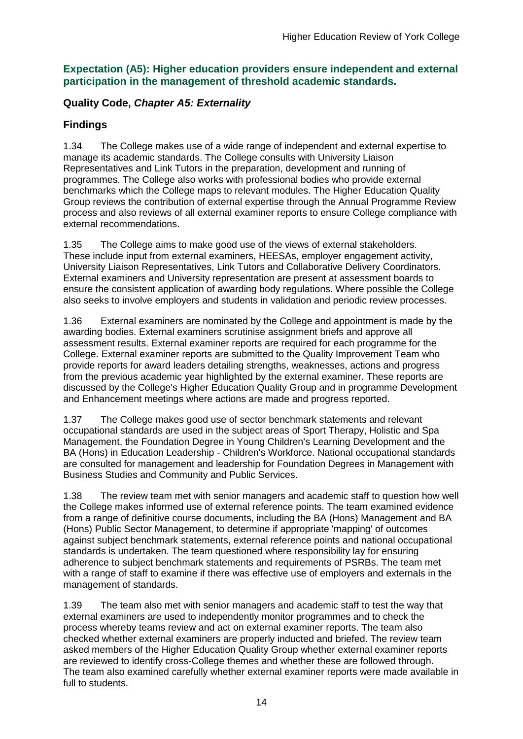#### **Expectation (A5): Higher education providers ensure independent and external participation in the management of threshold academic standards.**

## **Quality Code,** *Chapter A5: Externality*

### **Findings**

1.34 The College makes use of a wide range of independent and external expertise to manage its academic standards. The College consults with University Liaison Representatives and Link Tutors in the preparation, development and running of programmes. The College also works with professional bodies who provide external benchmarks which the College maps to relevant modules. The Higher Education Quality Group reviews the contribution of external expertise through the Annual Programme Review process and also reviews of all external examiner reports to ensure College compliance with external recommendations.

1.35 The College aims to make good use of the views of external stakeholders. These include input from external examiners, HEESAs, employer engagement activity, University Liaison Representatives, Link Tutors and Collaborative Delivery Coordinators. External examiners and University representation are present at assessment boards to ensure the consistent application of awarding body regulations. Where possible the College also seeks to involve employers and students in validation and periodic review processes.

1.36 External examiners are nominated by the College and appointment is made by the awarding bodies. External examiners scrutinise assignment briefs and approve all assessment results. External examiner reports are required for each programme for the College. External examiner reports are submitted to the Quality Improvement Team who provide reports for award leaders detailing strengths, weaknesses, actions and progress from the previous academic year highlighted by the external examiner. These reports are discussed by the College's Higher Education Quality Group and in programme Development and Enhancement meetings where actions are made and progress reported.

1.37 The College makes good use of sector benchmark statements and relevant occupational standards are used in the subject areas of Sport Therapy, Holistic and Spa Management, the Foundation Degree in Young Children's Learning Development and the BA (Hons) in Education Leadership - Children's Workforce. National occupational standards are consulted for management and leadership for Foundation Degrees in Management with Business Studies and Community and Public Services.

1.38 The review team met with senior managers and academic staff to question how well the College makes informed use of external reference points. The team examined evidence from a range of definitive course documents, including the BA (Hons) Management and BA (Hons) Public Sector Management, to determine if appropriate 'mapping' of outcomes against subject benchmark statements, external reference points and national occupational standards is undertaken. The team questioned where responsibility lay for ensuring adherence to subject benchmark statements and requirements of PSRBs. The team met with a range of staff to examine if there was effective use of employers and externals in the management of standards.

1.39 The team also met with senior managers and academic staff to test the way that external examiners are used to independently monitor programmes and to check the process whereby teams review and act on external examiner reports. The team also checked whether external examiners are properly inducted and briefed. The review team asked members of the Higher Education Quality Group whether external examiner reports are reviewed to identify cross-College themes and whether these are followed through. The team also examined carefully whether external examiner reports were made available in full to students.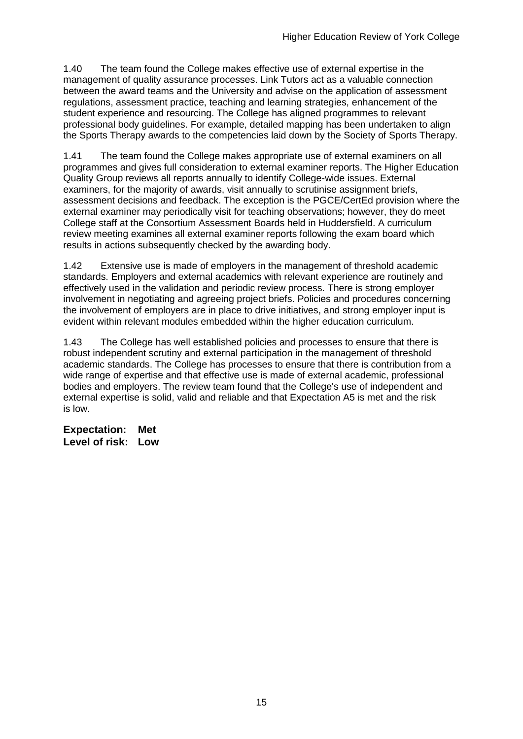1.40 The team found the College makes effective use of external expertise in the management of quality assurance processes. Link Tutors act as a valuable connection between the award teams and the University and advise on the application of assessment regulations, assessment practice, teaching and learning strategies, enhancement of the student experience and resourcing. The College has aligned programmes to relevant professional body guidelines. For example, detailed mapping has been undertaken to align the Sports Therapy awards to the competencies laid down by the Society of Sports Therapy.

1.41 The team found the College makes appropriate use of external examiners on all programmes and gives full consideration to external examiner reports. The Higher Education Quality Group reviews all reports annually to identify College-wide issues. External examiners, for the majority of awards, visit annually to scrutinise assignment briefs, assessment decisions and feedback. The exception is the PGCE/CertEd provision where the external examiner may periodically visit for teaching observations; however, they do meet College staff at the Consortium Assessment Boards held in Huddersfield. A curriculum review meeting examines all external examiner reports following the exam board which results in actions subsequently checked by the awarding body.

1.42 Extensive use is made of employers in the management of threshold academic standards. Employers and external academics with relevant experience are routinely and effectively used in the validation and periodic review process. There is strong employer involvement in negotiating and agreeing project briefs. Policies and procedures concerning the involvement of employers are in place to drive initiatives, and strong employer input is evident within relevant modules embedded within the higher education curriculum.

1.43 The College has well established policies and processes to ensure that there is robust independent scrutiny and external participation in the management of threshold academic standards. The College has processes to ensure that there is contribution from a wide range of expertise and that effective use is made of external academic, professional bodies and employers. The review team found that the College's use of independent and external expertise is solid, valid and reliable and that Expectation A5 is met and the risk is low.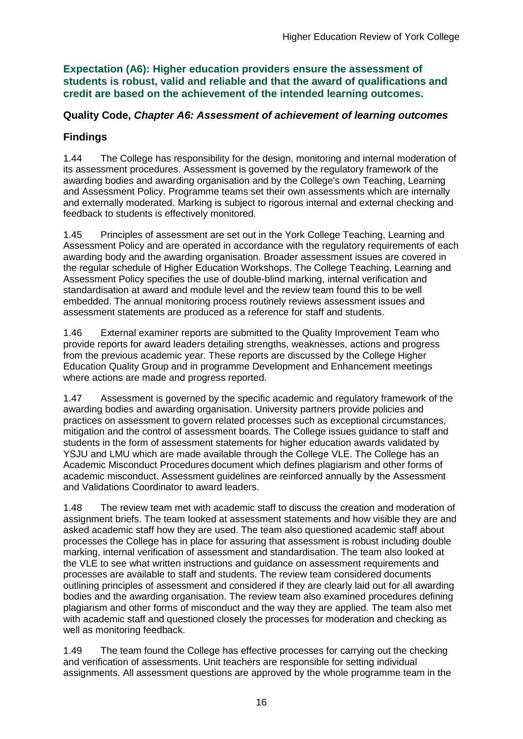**Expectation (A6): Higher education providers ensure the assessment of students is robust, valid and reliable and that the award of qualifications and credit are based on the achievement of the intended learning outcomes.**

#### **Quality Code,** *Chapter A6: Assessment of achievement of learning outcomes*

### **Findings**

1.44 The College has responsibility for the design, monitoring and internal moderation of its assessment procedures. Assessment is governed by the regulatory framework of the awarding bodies and awarding organisation and by the College's own Teaching, Learning and Assessment Policy. Programme teams set their own assessments which are internally and externally moderated. Marking is subject to rigorous internal and external checking and feedback to students is effectively monitored.

1.45 Principles of assessment are set out in the York College Teaching, Learning and Assessment Policy and are operated in accordance with the regulatory requirements of each awarding body and the awarding organisation. Broader assessment issues are covered in the regular schedule of Higher Education Workshops. The College Teaching, Learning and Assessment Policy specifies the use of double-blind marking, internal verification and standardisation at award and module level and the review team found this to be well embedded. The annual monitoring process routinely reviews assessment issues and assessment statements are produced as a reference for staff and students.

1.46 External examiner reports are submitted to the Quality Improvement Team who provide reports for award leaders detailing strengths, weaknesses, actions and progress from the previous academic year. These reports are discussed by the College Higher Education Quality Group and in programme Development and Enhancement meetings where actions are made and progress reported.

1.47 Assessment is governed by the specific academic and regulatory framework of the awarding bodies and awarding organisation. University partners provide policies and practices on assessment to govern related processes such as exceptional circumstances, mitigation and the control of assessment boards. The College issues guidance to staff and students in the form of assessment statements for higher education awards validated by YSJU and LMU which are made available through the College VLE. The College has an Academic Misconduct Procedures document which defines plagiarism and other forms of academic misconduct. Assessment guidelines are reinforced annually by the Assessment and Validations Coordinator to award leaders.

1.48 The review team met with academic staff to discuss the creation and moderation of assignment briefs. The team looked at assessment statements and how visible they are and asked academic staff how they are used. The team also questioned academic staff about processes the College has in place for assuring that assessment is robust including double marking, internal verification of assessment and standardisation. The team also looked at the VLE to see what written instructions and guidance on assessment requirements and processes are available to staff and students. The review team considered documents outlining principles of assessment and considered if they are clearly laid out for all awarding bodies and the awarding organisation. The review team also examined procedures defining plagiarism and other forms of misconduct and the way they are applied. The team also met with academic staff and questioned closely the processes for moderation and checking as well as monitoring feedback.

1.49 The team found the College has effective processes for carrying out the checking and verification of assessments. Unit teachers are responsible for setting individual assignments. All assessment questions are approved by the whole programme team in the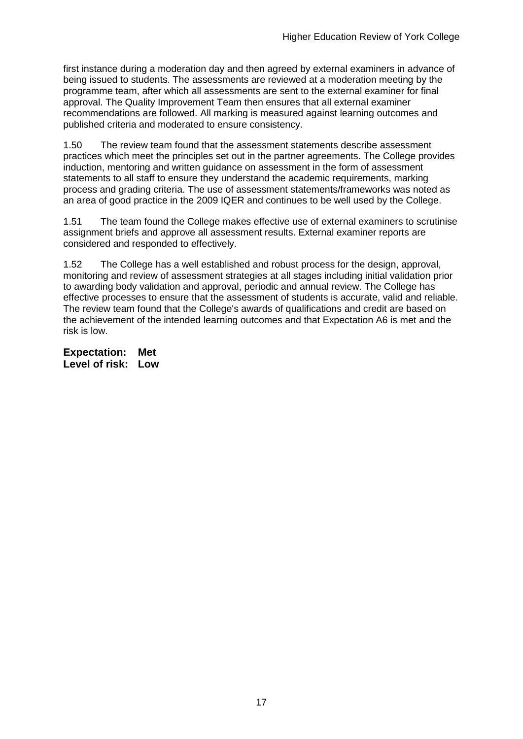first instance during a moderation day and then agreed by external examiners in advance of being issued to students. The assessments are reviewed at a moderation meeting by the programme team, after which all assessments are sent to the external examiner for final approval. The Quality Improvement Team then ensures that all external examiner recommendations are followed. All marking is measured against learning outcomes and published criteria and moderated to ensure consistency.

1.50 The review team found that the assessment statements describe assessment practices which meet the principles set out in the partner agreements. The College provides induction, mentoring and written guidance on assessment in the form of assessment statements to all staff to ensure they understand the academic requirements, marking process and grading criteria. The use of assessment statements/frameworks was noted as an area of good practice in the 2009 IQER and continues to be well used by the College.

1.51 The team found the College makes effective use of external examiners to scrutinise assignment briefs and approve all assessment results. External examiner reports are considered and responded to effectively.

1.52 The College has a well established and robust process for the design, approval, monitoring and review of assessment strategies at all stages including initial validation prior to awarding body validation and approval, periodic and annual review. The College has effective processes to ensure that the assessment of students is accurate, valid and reliable. The review team found that the College's awards of qualifications and credit are based on the achievement of the intended learning outcomes and that Expectation A6 is met and the risk is low.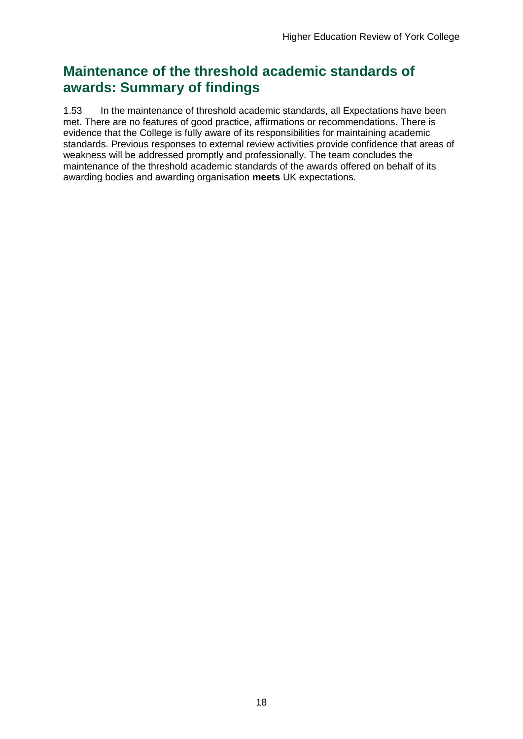## **Maintenance of the threshold academic standards of awards: Summary of findings**

1.53 In the maintenance of threshold academic standards, all Expectations have been met. There are no features of good practice, affirmations or recommendations. There is evidence that the College is fully aware of its responsibilities for maintaining academic standards. Previous responses to external review activities provide confidence that areas of weakness will be addressed promptly and professionally. The team concludes the maintenance of the threshold academic standards of the awards offered on behalf of its awarding bodies and awarding organisation **meets** UK expectations.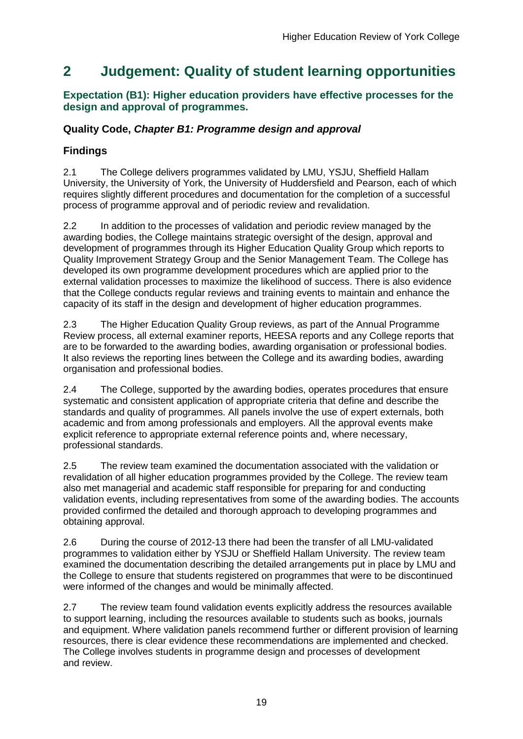## <span id="page-19-0"></span>**2 Judgement: Quality of student learning opportunities**

### **Expectation (B1): Higher education providers have effective processes for the design and approval of programmes.**

## **Quality Code,** *Chapter B1: Programme design and approval*

## **Findings**

2.1 The College delivers programmes validated by LMU, YSJU, Sheffield Hallam University, the University of York, the University of Huddersfield and Pearson, each of which requires slightly different procedures and documentation for the completion of a successful process of programme approval and of periodic review and revalidation.

2.2 In addition to the processes of validation and periodic review managed by the awarding bodies, the College maintains strategic oversight of the design, approval and development of programmes through its Higher Education Quality Group which reports to Quality Improvement Strategy Group and the Senior Management Team. The College has developed its own programme development procedures which are applied prior to the external validation processes to maximize the likelihood of success. There is also evidence that the College conducts regular reviews and training events to maintain and enhance the capacity of its staff in the design and development of higher education programmes.

2.3 The Higher Education Quality Group reviews, as part of the Annual Programme Review process, all external examiner reports, HEESA reports and any College reports that are to be forwarded to the awarding bodies, awarding organisation or professional bodies. It also reviews the reporting lines between the College and its awarding bodies, awarding organisation and professional bodies.

2.4 The College, supported by the awarding bodies, operates procedures that ensure systematic and consistent application of appropriate criteria that define and describe the standards and quality of programmes. All panels involve the use of expert externals, both academic and from among professionals and employers. All the approval events make explicit reference to appropriate external reference points and, where necessary, professional standards.

2.5 The review team examined the documentation associated with the validation or revalidation of all higher education programmes provided by the College. The review team also met managerial and academic staff responsible for preparing for and conducting validation events, including representatives from some of the awarding bodies. The accounts provided confirmed the detailed and thorough approach to developing programmes and obtaining approval.

2.6 During the course of 2012-13 there had been the transfer of all LMU-validated programmes to validation either by YSJU or Sheffield Hallam University. The review team examined the documentation describing the detailed arrangements put in place by LMU and the College to ensure that students registered on programmes that were to be discontinued were informed of the changes and would be minimally affected.

2.7 The review team found validation events explicitly address the resources available to support learning, including the resources available to students such as books, journals and equipment. Where validation panels recommend further or different provision of learning resources, there is clear evidence these recommendations are implemented and checked. The College involves students in programme design and processes of development and review.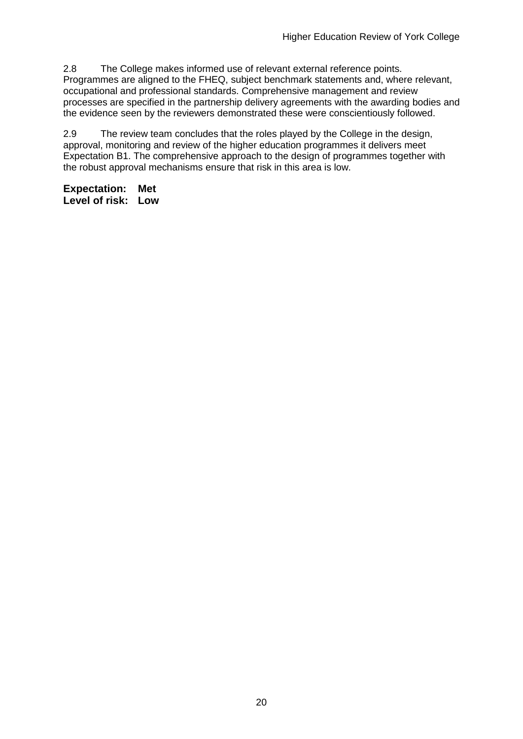2.8 The College makes informed use of relevant external reference points. Programmes are aligned to the FHEQ, subject benchmark statements and, where relevant, occupational and professional standards. Comprehensive management and review processes are specified in the partnership delivery agreements with the awarding bodies and the evidence seen by the reviewers demonstrated these were conscientiously followed.

2.9 The review team concludes that the roles played by the College in the design, approval, monitoring and review of the higher education programmes it delivers meet Expectation B1. The comprehensive approach to the design of programmes together with the robust approval mechanisms ensure that risk in this area is low.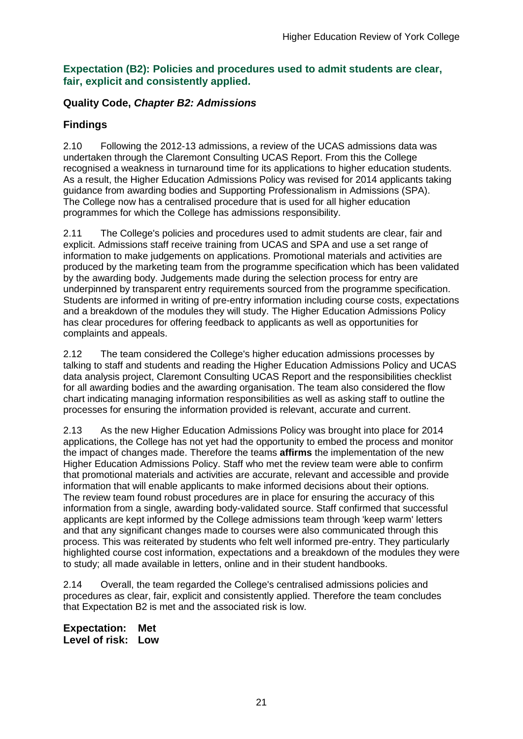#### **Expectation (B2): Policies and procedures used to admit students are clear, fair, explicit and consistently applied.**

### **Quality Code,** *Chapter B2: Admissions*

## **Findings**

2.10 Following the 2012-13 admissions, a review of the UCAS admissions data was undertaken through the Claremont Consulting UCAS Report. From this the College recognised a weakness in turnaround time for its applications to higher education students. As a result, the Higher Education Admissions Policy was revised for 2014 applicants taking guidance from awarding bodies and Supporting Professionalism in Admissions (SPA). The College now has a centralised procedure that is used for all higher education programmes for which the College has admissions responsibility.

2.11 The College's policies and procedures used to admit students are clear, fair and explicit. Admissions staff receive training from UCAS and SPA and use a set range of information to make judgements on applications. Promotional materials and activities are produced by the marketing team from the programme specification which has been validated by the awarding body. Judgements made during the selection process for entry are underpinned by transparent entry requirements sourced from the programme specification. Students are informed in writing of pre-entry information including course costs, expectations and a breakdown of the modules they will study. The Higher Education Admissions Policy has clear procedures for offering feedback to applicants as well as opportunities for complaints and appeals.

2.12 The team considered the College's higher education admissions processes by talking to staff and students and reading the Higher Education Admissions Policy and UCAS data analysis project, Claremont Consulting UCAS Report and the responsibilities checklist for all awarding bodies and the awarding organisation. The team also considered the flow chart indicating managing information responsibilities as well as asking staff to outline the processes for ensuring the information provided is relevant, accurate and current.

2.13 As the new Higher Education Admissions Policy was brought into place for 2014 applications, the College has not yet had the opportunity to embed the process and monitor the impact of changes made. Therefore the teams **affirms** the implementation of the new Higher Education Admissions Policy. Staff who met the review team were able to confirm that promotional materials and activities are accurate, relevant and accessible and provide information that will enable applicants to make informed decisions about their options. The review team found robust procedures are in place for ensuring the accuracy of this information from a single, awarding body-validated source. Staff confirmed that successful applicants are kept informed by the College admissions team through 'keep warm' letters and that any significant changes made to courses were also communicated through this process. This was reiterated by students who felt well informed pre-entry. They particularly highlighted course cost information, expectations and a breakdown of the modules they were to study; all made available in letters, online and in their student handbooks.

2.14 Overall, the team regarded the College's centralised admissions policies and procedures as clear, fair, explicit and consistently applied. Therefore the team concludes that Expectation B2 is met and the associated risk is low.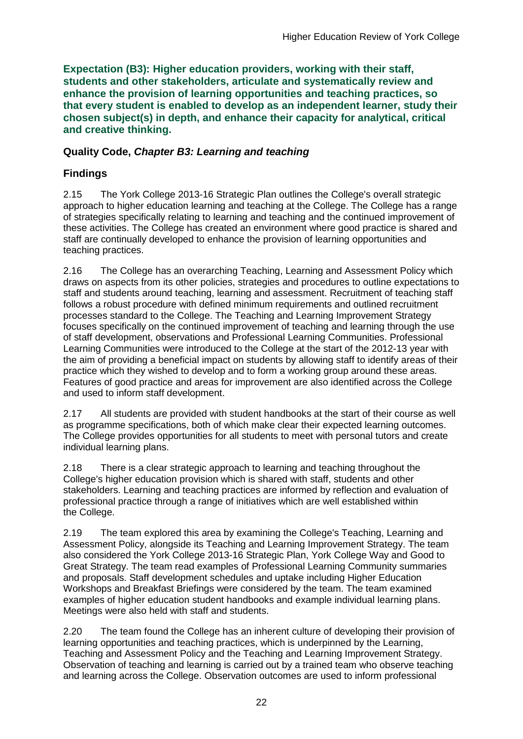**Expectation (B3): Higher education providers, working with their staff, students and other stakeholders, articulate and systematically review and enhance the provision of learning opportunities and teaching practices, so that every student is enabled to develop as an independent learner, study their chosen subject(s) in depth, and enhance their capacity for analytical, critical and creative thinking.**

### **Quality Code,** *Chapter B3: Learning and teaching*

## **Findings**

2.15 The York College 2013-16 Strategic Plan outlines the College's overall strategic approach to higher education learning and teaching at the College. The College has a range of strategies specifically relating to learning and teaching and the continued improvement of these activities. The College has created an environment where good practice is shared and staff are continually developed to enhance the provision of learning opportunities and teaching practices.

2.16 The College has an overarching Teaching, Learning and Assessment Policy which draws on aspects from its other policies, strategies and procedures to outline expectations to staff and students around teaching, learning and assessment. Recruitment of teaching staff follows a robust procedure with defined minimum requirements and outlined recruitment processes standard to the College. The Teaching and Learning Improvement Strategy focuses specifically on the continued improvement of teaching and learning through the use of staff development, observations and Professional Learning Communities. Professional Learning Communities were introduced to the College at the start of the 2012-13 year with the aim of providing a beneficial impact on students by allowing staff to identify areas of their practice which they wished to develop and to form a working group around these areas. Features of good practice and areas for improvement are also identified across the College and used to inform staff development.

2.17 All students are provided with student handbooks at the start of their course as well as programme specifications, both of which make clear their expected learning outcomes. The College provides opportunities for all students to meet with personal tutors and create individual learning plans.

2.18 There is a clear strategic approach to learning and teaching throughout the College's higher education provision which is shared with staff, students and other stakeholders. Learning and teaching practices are informed by reflection and evaluation of professional practice through a range of initiatives which are well established within the College.

2.19 The team explored this area by examining the College's Teaching, Learning and Assessment Policy, alongside its Teaching and Learning Improvement Strategy. The team also considered the York College 2013-16 Strategic Plan, York College Way and Good to Great Strategy. The team read examples of Professional Learning Community summaries and proposals. Staff development schedules and uptake including Higher Education Workshops and Breakfast Briefings were considered by the team. The team examined examples of higher education student handbooks and example individual learning plans. Meetings were also held with staff and students.

2.20 The team found the College has an inherent culture of developing their provision of learning opportunities and teaching practices, which is underpinned by the Learning, Teaching and Assessment Policy and the Teaching and Learning Improvement Strategy. Observation of teaching and learning is carried out by a trained team who observe teaching and learning across the College. Observation outcomes are used to inform professional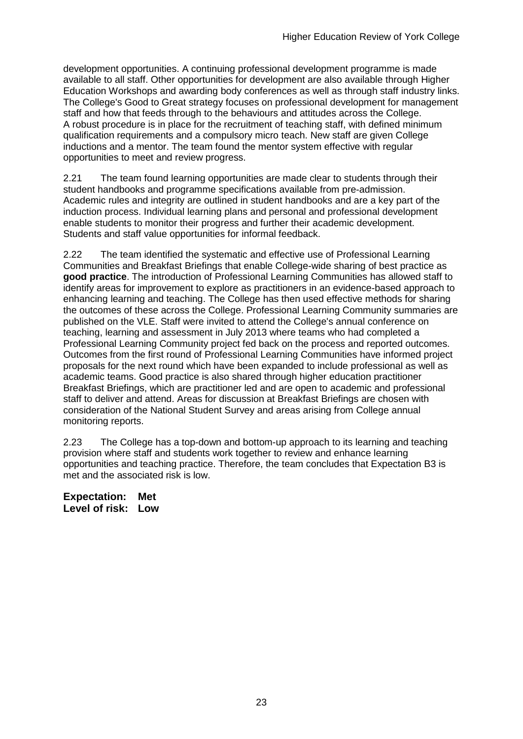development opportunities. A continuing professional development programme is made available to all staff. Other opportunities for development are also available through Higher Education Workshops and awarding body conferences as well as through staff industry links. The College's Good to Great strategy focuses on professional development for management staff and how that feeds through to the behaviours and attitudes across the College. A robust procedure is in place for the recruitment of teaching staff, with defined minimum qualification requirements and a compulsory micro teach. New staff are given College inductions and a mentor. The team found the mentor system effective with regular opportunities to meet and review progress.

2.21 The team found learning opportunities are made clear to students through their student handbooks and programme specifications available from pre-admission. Academic rules and integrity are outlined in student handbooks and are a key part of the induction process. Individual learning plans and personal and professional development enable students to monitor their progress and further their academic development. Students and staff value opportunities for informal feedback.

2.22 The team identified the systematic and effective use of Professional Learning Communities and Breakfast Briefings that enable College-wide sharing of best practice as **good practice**. The introduction of Professional Learning Communities has allowed staff to identify areas for improvement to explore as practitioners in an evidence-based approach to enhancing learning and teaching. The College has then used effective methods for sharing the outcomes of these across the College. Professional Learning Community summaries are published on the VLE. Staff were invited to attend the College's annual conference on teaching, learning and assessment in July 2013 where teams who had completed a Professional Learning Community project fed back on the process and reported outcomes. Outcomes from the first round of Professional Learning Communities have informed project proposals for the next round which have been expanded to include professional as well as academic teams. Good practice is also shared through higher education practitioner Breakfast Briefings, which are practitioner led and are open to academic and professional staff to deliver and attend. Areas for discussion at Breakfast Briefings are chosen with consideration of the National Student Survey and areas arising from College annual monitoring reports.

2.23 The College has a top-down and bottom-up approach to its learning and teaching provision where staff and students work together to review and enhance learning opportunities and teaching practice. Therefore, the team concludes that Expectation B3 is met and the associated risk is low.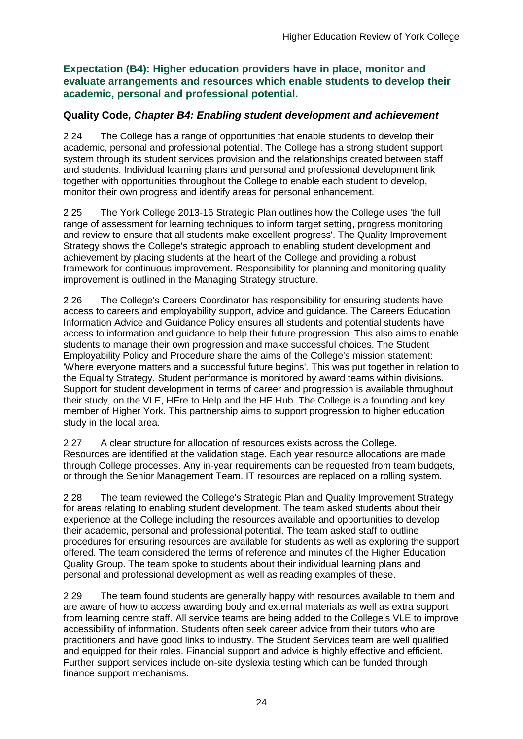**Expectation (B4): Higher education providers have in place, monitor and evaluate arrangements and resources which enable students to develop their academic, personal and professional potential.**

#### **Quality Code,** *Chapter B4: Enabling student development and achievement*

2.24 The College has a range of opportunities that enable students to develop their academic, personal and professional potential. The College has a strong student support system through its student services provision and the relationships created between staff and students. Individual learning plans and personal and professional development link together with opportunities throughout the College to enable each student to develop, monitor their own progress and identify areas for personal enhancement.

2.25 The York College 2013-16 Strategic Plan outlines how the College uses 'the full range of assessment for learning techniques to inform target setting, progress monitoring and review to ensure that all students make excellent progress'. The Quality Improvement Strategy shows the College's strategic approach to enabling student development and achievement by placing students at the heart of the College and providing a robust framework for continuous improvement. Responsibility for planning and monitoring quality improvement is outlined in the Managing Strategy structure.

2.26 The College's Careers Coordinator has responsibility for ensuring students have access to careers and employability support, advice and guidance. The Careers Education Information Advice and Guidance Policy ensures all students and potential students have access to information and guidance to help their future progression. This also aims to enable students to manage their own progression and make successful choices. The Student Employability Policy and Procedure share the aims of the College's mission statement: 'Where everyone matters and a successful future begins'*.* This was put together in relation to the Equality Strategy. Student performance is monitored by award teams within divisions. Support for student development in terms of career and progression is available throughout their study, on the VLE, HEre to Help and the HE Hub. The College is a founding and key member of Higher York. This partnership aims to support progression to higher education study in the local area.

2.27 A clear structure for allocation of resources exists across the College. Resources are identified at the validation stage. Each year resource allocations are made through College processes. Any in-year requirements can be requested from team budgets, or through the Senior Management Team. IT resources are replaced on a rolling system.

2.28 The team reviewed the College's Strategic Plan and Quality Improvement Strategy for areas relating to enabling student development. The team asked students about their experience at the College including the resources available and opportunities to develop their academic, personal and professional potential. The team asked staff to outline procedures for ensuring resources are available for students as well as exploring the support offered. The team considered the terms of reference and minutes of the Higher Education Quality Group. The team spoke to students about their individual learning plans and personal and professional development as well as reading examples of these.

2.29 The team found students are generally happy with resources available to them and are aware of how to access awarding body and external materials as well as extra support from learning centre staff. All service teams are being added to the College's VLE to improve accessibility of information. Students often seek career advice from their tutors who are practitioners and have good links to industry. The Student Services team are well qualified and equipped for their roles. Financial support and advice is highly effective and efficient. Further support services include on-site dyslexia testing which can be funded through finance support mechanisms.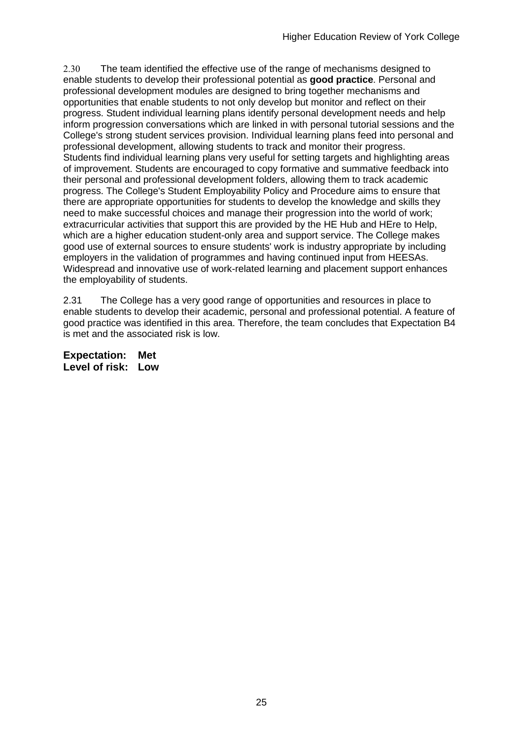2.30 The team identified the effective use of the range of mechanisms designed to enable students to develop their professional potential as **good practice**. Personal and professional development modules are designed to bring together mechanisms and opportunities that enable students to not only develop but monitor and reflect on their progress. Student individual learning plans identify personal development needs and help inform progression conversations which are linked in with personal tutorial sessions and the College's strong student services provision. Individual learning plans feed into personal and professional development, allowing students to track and monitor their progress. Students find individual learning plans very useful for setting targets and highlighting areas of improvement. Students are encouraged to copy formative and summative feedback into their personal and professional development folders, allowing them to track academic progress. The College's Student Employability Policy and Procedure aims to ensure that there are appropriate opportunities for students to develop the knowledge and skills they need to make successful choices and manage their progression into the world of work; extracurricular activities that support this are provided by the HE Hub and HEre to Help, which are a higher education student-only area and support service. The College makes good use of external sources to ensure students' work is industry appropriate by including employers in the validation of programmes and having continued input from HEESAs. Widespread and innovative use of work-related learning and placement support enhances the employability of students.

2.31 The College has a very good range of opportunities and resources in place to enable students to develop their academic, personal and professional potential. A feature of good practice was identified in this area. Therefore, the team concludes that Expectation B4 is met and the associated risk is low.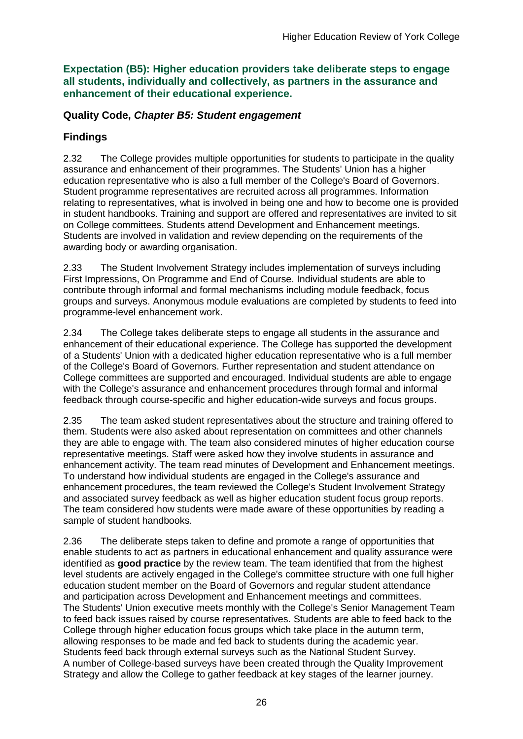**Expectation (B5): Higher education providers take deliberate steps to engage all students, individually and collectively, as partners in the assurance and enhancement of their educational experience.**

#### **Quality Code,** *Chapter B5: Student engagement*

### **Findings**

2.32 The College provides multiple opportunities for students to participate in the quality assurance and enhancement of their programmes. The Students' Union has a higher education representative who is also a full member of the College's Board of Governors. Student programme representatives are recruited across all programmes. Information relating to representatives, what is involved in being one and how to become one is provided in student handbooks. Training and support are offered and representatives are invited to sit on College committees. Students attend Development and Enhancement meetings. Students are involved in validation and review depending on the requirements of the awarding body or awarding organisation.

2.33 The Student Involvement Strategy includes implementation of surveys including First Impressions, On Programme and End of Course. Individual students are able to contribute through informal and formal mechanisms including module feedback, focus groups and surveys. Anonymous module evaluations are completed by students to feed into programme-level enhancement work.

2.34 The College takes deliberate steps to engage all students in the assurance and enhancement of their educational experience. The College has supported the development of a Students' Union with a dedicated higher education representative who is a full member of the College's Board of Governors. Further representation and student attendance on College committees are supported and encouraged. Individual students are able to engage with the College's assurance and enhancement procedures through formal and informal feedback through course-specific and higher education-wide surveys and focus groups.

2.35 The team asked student representatives about the structure and training offered to them. Students were also asked about representation on committees and other channels they are able to engage with. The team also considered minutes of higher education course representative meetings. Staff were asked how they involve students in assurance and enhancement activity. The team read minutes of Development and Enhancement meetings. To understand how individual students are engaged in the College's assurance and enhancement procedures, the team reviewed the College's Student Involvement Strategy and associated survey feedback as well as higher education student focus group reports. The team considered how students were made aware of these opportunities by reading a sample of student handbooks.

2.36 The deliberate steps taken to define and promote a range of opportunities that enable students to act as partners in educational enhancement and quality assurance were identified as **good practice** by the review team. The team identified that from the highest level students are actively engaged in the College's committee structure with one full higher education student member on the Board of Governors and regular student attendance and participation across Development and Enhancement meetings and committees. The Students' Union executive meets monthly with the College's Senior Management Team to feed back issues raised by course representatives. Students are able to feed back to the College through higher education focus groups which take place in the autumn term, allowing responses to be made and fed back to students during the academic year. Students feed back through external surveys such as the National Student Survey. A number of College-based surveys have been created through the Quality Improvement Strategy and allow the College to gather feedback at key stages of the learner journey.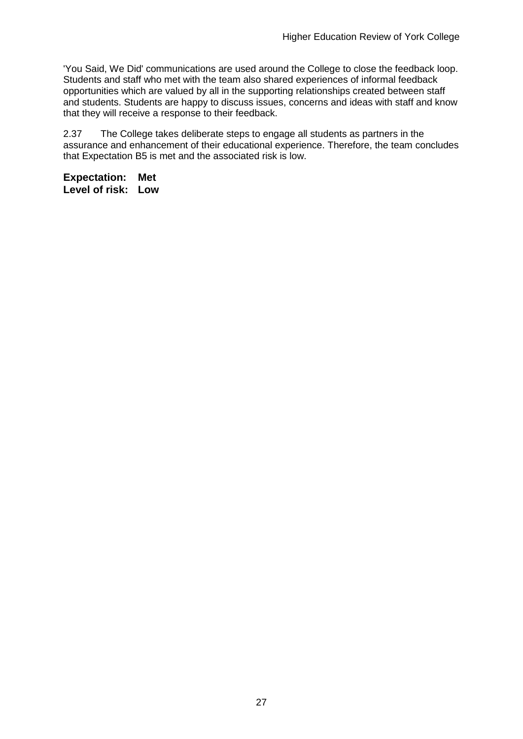'You Said, We Did' communications are used around the College to close the feedback loop. Students and staff who met with the team also shared experiences of informal feedback opportunities which are valued by all in the supporting relationships created between staff and students. Students are happy to discuss issues, concerns and ideas with staff and know that they will receive a response to their feedback.

2.37 The College takes deliberate steps to engage all students as partners in the assurance and enhancement of their educational experience. Therefore, the team concludes that Expectation B5 is met and the associated risk is low.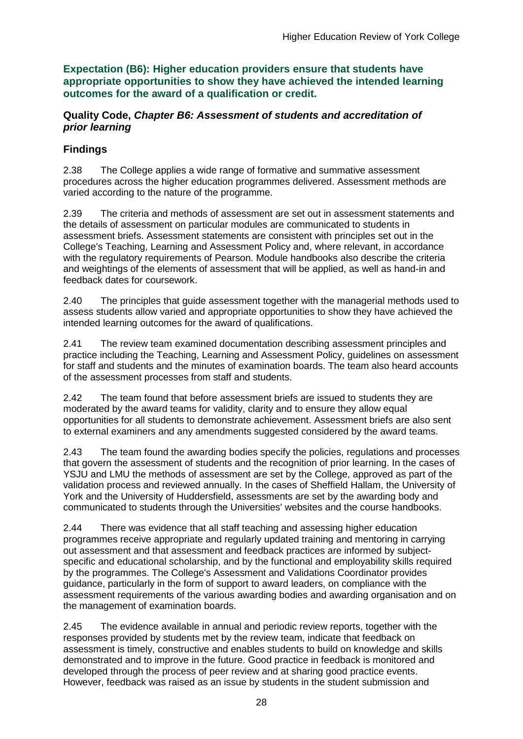**Expectation (B6): Higher education providers ensure that students have appropriate opportunities to show they have achieved the intended learning outcomes for the award of a qualification or credit.**

#### **Quality Code,** *Chapter B6: Assessment of students and accreditation of prior learning*

## **Findings**

2.38 The College applies a wide range of formative and summative assessment procedures across the higher education programmes delivered. Assessment methods are varied according to the nature of the programme.

2.39 The criteria and methods of assessment are set out in assessment statements and the details of assessment on particular modules are communicated to students in assessment briefs. Assessment statements are consistent with principles set out in the College's Teaching, Learning and Assessment Policy and, where relevant, in accordance with the regulatory requirements of Pearson. Module handbooks also describe the criteria and weightings of the elements of assessment that will be applied, as well as hand-in and feedback dates for coursework.

2.40 The principles that guide assessment together with the managerial methods used to assess students allow varied and appropriate opportunities to show they have achieved the intended learning outcomes for the award of qualifications.

2.41 The review team examined documentation describing assessment principles and practice including the Teaching, Learning and Assessment Policy, guidelines on assessment for staff and students and the minutes of examination boards. The team also heard accounts of the assessment processes from staff and students.

2.42 The team found that before assessment briefs are issued to students they are moderated by the award teams for validity, clarity and to ensure they allow equal opportunities for all students to demonstrate achievement. Assessment briefs are also sent to external examiners and any amendments suggested considered by the award teams.

2.43 The team found the awarding bodies specify the policies, regulations and processes that govern the assessment of students and the recognition of prior learning. In the cases of YSJU and LMU the methods of assessment are set by the College, approved as part of the validation process and reviewed annually. In the cases of Sheffield Hallam, the University of York and the University of Huddersfield, assessments are set by the awarding body and communicated to students through the Universities' websites and the course handbooks.

2.44 There was evidence that all staff teaching and assessing higher education programmes receive appropriate and regularly updated training and mentoring in carrying out assessment and that assessment and feedback practices are informed by subjectspecific and educational scholarship, and by the functional and employability skills required by the programmes. The College's Assessment and Validations Coordinator provides guidance, particularly in the form of support to award leaders, on compliance with the assessment requirements of the various awarding bodies and awarding organisation and on the management of examination boards.

2.45 The evidence available in annual and periodic review reports, together with the responses provided by students met by the review team, indicate that feedback on assessment is timely, constructive and enables students to build on knowledge and skills demonstrated and to improve in the future. Good practice in feedback is monitored and developed through the process of peer review and at sharing good practice events. However, feedback was raised as an issue by students in the student submission and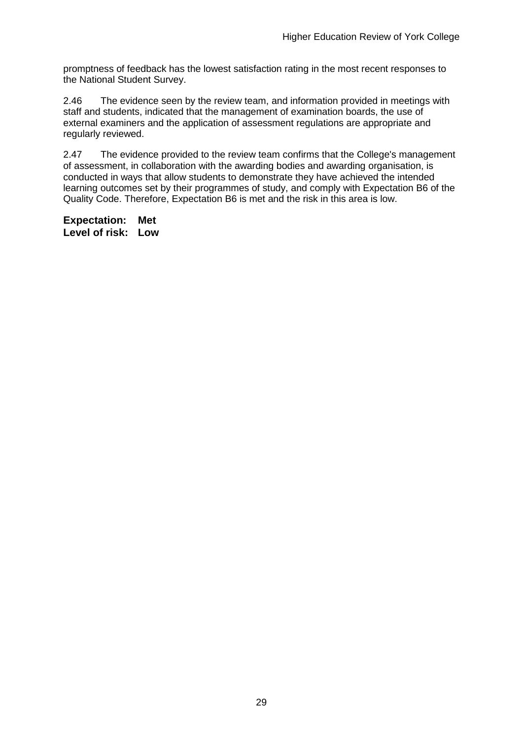promptness of feedback has the lowest satisfaction rating in the most recent responses to the National Student Survey.

2.46 The evidence seen by the review team, and information provided in meetings with staff and students, indicated that the management of examination boards, the use of external examiners and the application of assessment regulations are appropriate and regularly reviewed.

2.47 The evidence provided to the review team confirms that the College's management of assessment, in collaboration with the awarding bodies and awarding organisation, is conducted in ways that allow students to demonstrate they have achieved the intended learning outcomes set by their programmes of study, and comply with Expectation B6 of the Quality Code. Therefore, Expectation B6 is met and the risk in this area is low.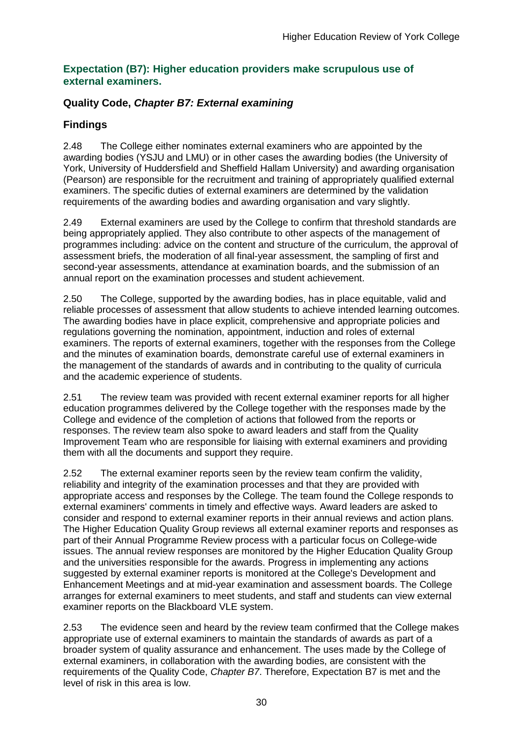#### **Expectation (B7): Higher education providers make scrupulous use of external examiners.**

### **Quality Code,** *Chapter B7: External examining*

## **Findings**

2.48 The College either nominates external examiners who are appointed by the awarding bodies (YSJU and LMU) or in other cases the awarding bodies (the University of York, University of Huddersfield and Sheffield Hallam University) and awarding organisation (Pearson) are responsible for the recruitment and training of appropriately qualified external examiners. The specific duties of external examiners are determined by the validation requirements of the awarding bodies and awarding organisation and vary slightly.

2.49 External examiners are used by the College to confirm that threshold standards are being appropriately applied. They also contribute to other aspects of the management of programmes including: advice on the content and structure of the curriculum, the approval of assessment briefs, the moderation of all final-year assessment, the sampling of first and second-year assessments, attendance at examination boards, and the submission of an annual report on the examination processes and student achievement.

2.50 The College, supported by the awarding bodies, has in place equitable, valid and reliable processes of assessment that allow students to achieve intended learning outcomes. The awarding bodies have in place explicit, comprehensive and appropriate policies and regulations governing the nomination, appointment, induction and roles of external examiners. The reports of external examiners, together with the responses from the College and the minutes of examination boards, demonstrate careful use of external examiners in the management of the standards of awards and in contributing to the quality of curricula and the academic experience of students.

2.51 The review team was provided with recent external examiner reports for all higher education programmes delivered by the College together with the responses made by the College and evidence of the completion of actions that followed from the reports or responses. The review team also spoke to award leaders and staff from the Quality Improvement Team who are responsible for liaising with external examiners and providing them with all the documents and support they require.

2.52 The external examiner reports seen by the review team confirm the validity, reliability and integrity of the examination processes and that they are provided with appropriate access and responses by the College. The team found the College responds to external examiners' comments in timely and effective ways. Award leaders are asked to consider and respond to external examiner reports in their annual reviews and action plans. The Higher Education Quality Group reviews all external examiner reports and responses as part of their Annual Programme Review process with a particular focus on College-wide issues. The annual review responses are monitored by the Higher Education Quality Group and the universities responsible for the awards. Progress in implementing any actions suggested by external examiner reports is monitored at the College's Development and Enhancement Meetings and at mid-year examination and assessment boards. The College arranges for external examiners to meet students, and staff and students can view external examiner reports on the Blackboard VLE system.

2.53 The evidence seen and heard by the review team confirmed that the College makes appropriate use of external examiners to maintain the standards of awards as part of a broader system of quality assurance and enhancement. The uses made by the College of external examiners, in collaboration with the awarding bodies, are consistent with the requirements of the Quality Code, *Chapter B7*. Therefore, Expectation B7 is met and the level of risk in this area is low.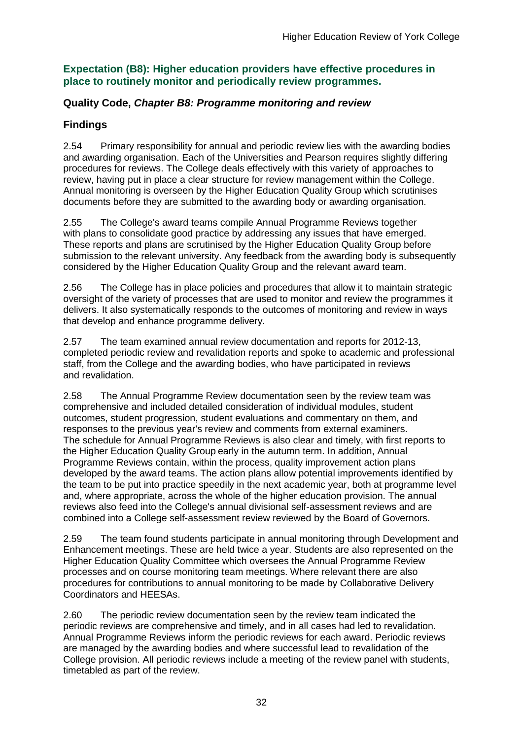#### **Expectation (B8): Higher education providers have effective procedures in place to routinely monitor and periodically review programmes.**

#### **Quality Code,** *Chapter B8: Programme monitoring and review*

### **Findings**

2.54 Primary responsibility for annual and periodic review lies with the awarding bodies and awarding organisation. Each of the Universities and Pearson requires slightly differing procedures for reviews. The College deals effectively with this variety of approaches to review, having put in place a clear structure for review management within the College. Annual monitoring is overseen by the Higher Education Quality Group which scrutinises documents before they are submitted to the awarding body or awarding organisation.

2.55 The College's award teams compile Annual Programme Reviews together with plans to consolidate good practice by addressing any issues that have emerged. These reports and plans are scrutinised by the Higher Education Quality Group before submission to the relevant university. Any feedback from the awarding body is subsequently considered by the Higher Education Quality Group and the relevant award team.

2.56 The College has in place policies and procedures that allow it to maintain strategic oversight of the variety of processes that are used to monitor and review the programmes it delivers. It also systematically responds to the outcomes of monitoring and review in ways that develop and enhance programme delivery.

2.57 The team examined annual review documentation and reports for 2012-13, completed periodic review and revalidation reports and spoke to academic and professional staff, from the College and the awarding bodies, who have participated in reviews and revalidation.

2.58 The Annual Programme Review documentation seen by the review team was comprehensive and included detailed consideration of individual modules, student outcomes, student progression, student evaluations and commentary on them, and responses to the previous year's review and comments from external examiners. The schedule for Annual Programme Reviews is also clear and timely, with first reports to the Higher Education Quality Group early in the autumn term. In addition, Annual Programme Reviews contain, within the process, quality improvement action plans developed by the award teams. The action plans allow potential improvements identified by the team to be put into practice speedily in the next academic year, both at programme level and, where appropriate, across the whole of the higher education provision. The annual reviews also feed into the College's annual divisional self-assessment reviews and are combined into a College self-assessment review reviewed by the Board of Governors.

2.59 The team found students participate in annual monitoring through Development and Enhancement meetings. These are held twice a year. Students are also represented on the Higher Education Quality Committee which oversees the Annual Programme Review processes and on course monitoring team meetings. Where relevant there are also procedures for contributions to annual monitoring to be made by Collaborative Delivery Coordinators and HEESAs.

2.60 The periodic review documentation seen by the review team indicated the periodic reviews are comprehensive and timely, and in all cases had led to revalidation. Annual Programme Reviews inform the periodic reviews for each award. Periodic reviews are managed by the awarding bodies and where successful lead to revalidation of the College provision. All periodic reviews include a meeting of the review panel with students, timetabled as part of the review.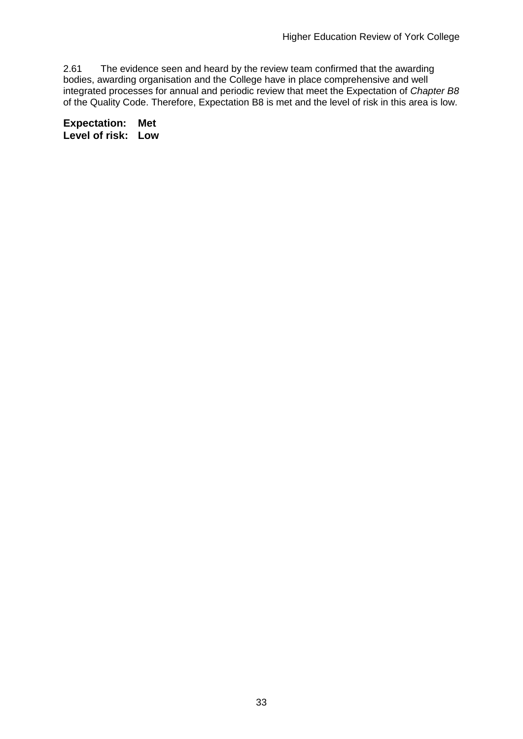2.61 The evidence seen and heard by the review team confirmed that the awarding bodies, awarding organisation and the College have in place comprehensive and well integrated processes for annual and periodic review that meet the Expectation of *Chapter B8*  of the Quality Code. Therefore, Expectation B8 is met and the level of risk in this area is low.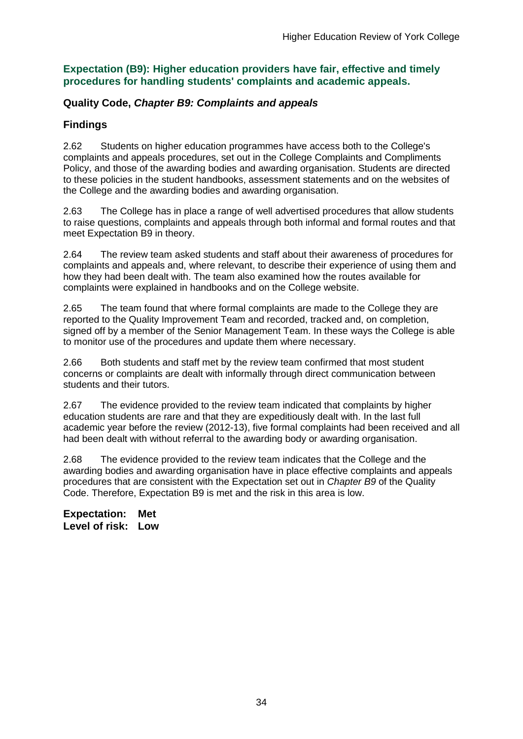#### **Expectation (B9): Higher education providers have fair, effective and timely procedures for handling students' complaints and academic appeals.**

### **Quality Code,** *Chapter B9: Complaints and appeals*

## **Findings**

2.62 Students on higher education programmes have access both to the College's complaints and appeals procedures, set out in the College Complaints and Compliments Policy, and those of the awarding bodies and awarding organisation. Students are directed to these policies in the student handbooks, assessment statements and on the websites of the College and the awarding bodies and awarding organisation.

2.63 The College has in place a range of well advertised procedures that allow students to raise questions, complaints and appeals through both informal and formal routes and that meet Expectation B9 in theory.

2.64 The review team asked students and staff about their awareness of procedures for complaints and appeals and, where relevant, to describe their experience of using them and how they had been dealt with. The team also examined how the routes available for complaints were explained in handbooks and on the College website.

2.65 The team found that where formal complaints are made to the College they are reported to the Quality Improvement Team and recorded, tracked and, on completion, signed off by a member of the Senior Management Team. In these ways the College is able to monitor use of the procedures and update them where necessary.

2.66 Both students and staff met by the review team confirmed that most student concerns or complaints are dealt with informally through direct communication between students and their tutors.

2.67 The evidence provided to the review team indicated that complaints by higher education students are rare and that they are expeditiously dealt with. In the last full academic year before the review (2012-13), five formal complaints had been received and all had been dealt with without referral to the awarding body or awarding organisation.

2.68 The evidence provided to the review team indicates that the College and the awarding bodies and awarding organisation have in place effective complaints and appeals procedures that are consistent with the Expectation set out in *Chapter B9* of the Quality Code. Therefore, Expectation B9 is met and the risk in this area is low.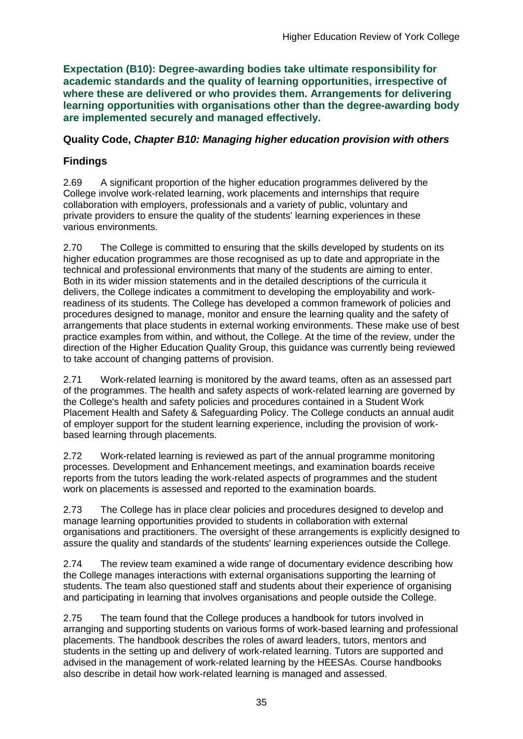**Expectation (B10): Degree-awarding bodies take ultimate responsibility for academic standards and the quality of learning opportunities, irrespective of where these are delivered or who provides them. Arrangements for delivering learning opportunities with organisations other than the degree-awarding body are implemented securely and managed effectively.**

### **Quality Code,** *Chapter B10: Managing higher education provision with others*

## **Findings**

2.69 A significant proportion of the higher education programmes delivered by the College involve work-related learning, work placements and internships that require collaboration with employers, professionals and a variety of public, voluntary and private providers to ensure the quality of the students' learning experiences in these various environments.

2.70 The College is committed to ensuring that the skills developed by students on its higher education programmes are those recognised as up to date and appropriate in the technical and professional environments that many of the students are aiming to enter. Both in its wider mission statements and in the detailed descriptions of the curricula it delivers, the College indicates a commitment to developing the employability and workreadiness of its students. The College has developed a common framework of policies and procedures designed to manage, monitor and ensure the learning quality and the safety of arrangements that place students in external working environments. These make use of best practice examples from within, and without, the College. At the time of the review, under the direction of the Higher Education Quality Group, this guidance was currently being reviewed to take account of changing patterns of provision.

2.71 Work-related learning is monitored by the award teams, often as an assessed part of the programmes. The health and safety aspects of work-related learning are governed by the College's health and safety policies and procedures contained in a Student Work Placement Health and Safety & Safeguarding Policy. The College conducts an annual audit of employer support for the student learning experience, including the provision of workbased learning through placements.

2.72 Work-related learning is reviewed as part of the annual programme monitoring processes. Development and Enhancement meetings, and examination boards receive reports from the tutors leading the work-related aspects of programmes and the student work on placements is assessed and reported to the examination boards.

2.73 The College has in place clear policies and procedures designed to develop and manage learning opportunities provided to students in collaboration with external organisations and practitioners. The oversight of these arrangements is explicitly designed to assure the quality and standards of the students' learning experiences outside the College.

2.74 The review team examined a wide range of documentary evidence describing how the College manages interactions with external organisations supporting the learning of students. The team also questioned staff and students about their experience of organising and participating in learning that involves organisations and people outside the College.

2.75 The team found that the College produces a handbook for tutors involved in arranging and supporting students on various forms of work-based learning and professional placements. The handbook describes the roles of award leaders, tutors, mentors and students in the setting up and delivery of work-related learning. Tutors are supported and advised in the management of work-related learning by the HEESAs. Course handbooks also describe in detail how work-related learning is managed and assessed.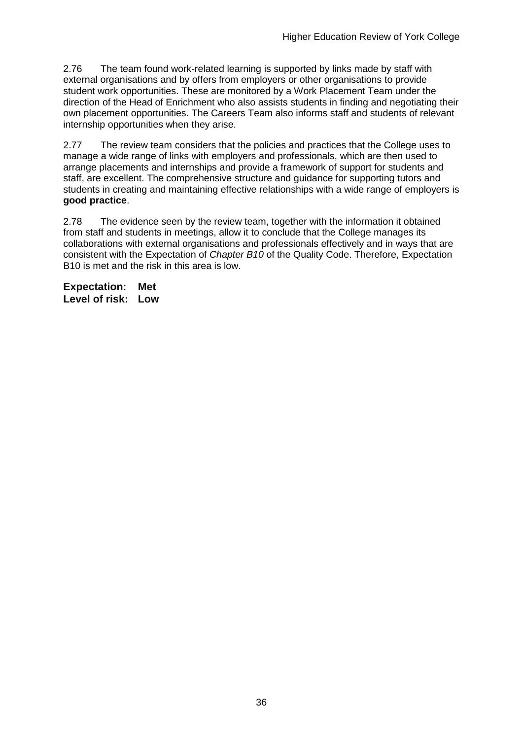2.76 The team found work-related learning is supported by links made by staff with external organisations and by offers from employers or other organisations to provide student work opportunities. These are monitored by a Work Placement Team under the direction of the Head of Enrichment who also assists students in finding and negotiating their own placement opportunities. The Careers Team also informs staff and students of relevant internship opportunities when they arise.

2.77 The review team considers that the policies and practices that the College uses to manage a wide range of links with employers and professionals, which are then used to arrange placements and internships and provide a framework of support for students and staff, are excellent. The comprehensive structure and guidance for supporting tutors and students in creating and maintaining effective relationships with a wide range of employers is **good practice**.

2.78 The evidence seen by the review team, together with the information it obtained from staff and students in meetings, allow it to conclude that the College manages its collaborations with external organisations and professionals effectively and in ways that are consistent with the Expectation of *Chapter B10* of the Quality Code. Therefore, Expectation B10 is met and the risk in this area is low.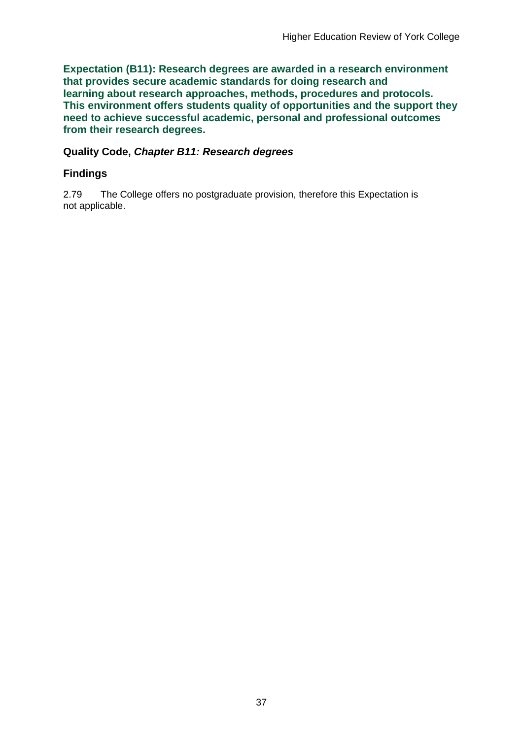**Expectation (B11): Research degrees are awarded in a research environment that provides secure academic standards for doing research and learning about research approaches, methods, procedures and protocols. This environment offers students quality of opportunities and the support they need to achieve successful academic, personal and professional outcomes from their research degrees.**

#### **Quality Code,** *Chapter B11: Research degrees*

### **Findings**

2.79 The College offers no postgraduate provision, therefore this Expectation is not applicable.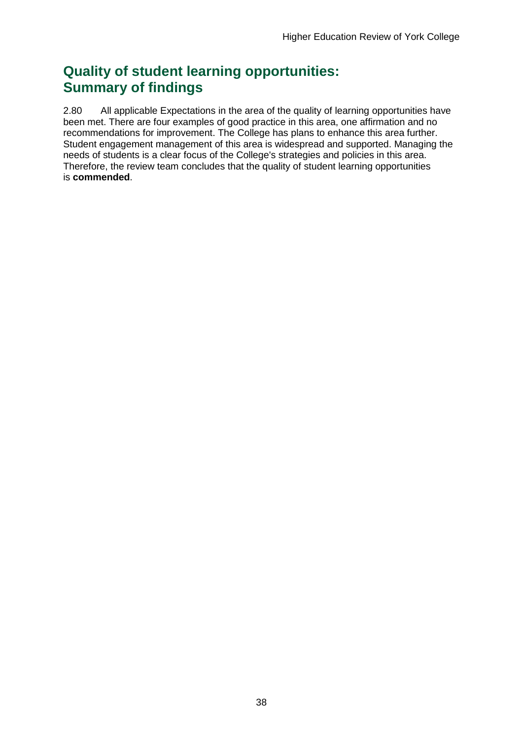## **Quality of student learning opportunities: Summary of findings**

2.80 All applicable Expectations in the area of the quality of learning opportunities have been met. There are four examples of good practice in this area, one affirmation and no recommendations for improvement. The College has plans to enhance this area further. Student engagement management of this area is widespread and supported. Managing the needs of students is a clear focus of the College's strategies and policies in this area. Therefore, the review team concludes that the quality of student learning opportunities is **commended**.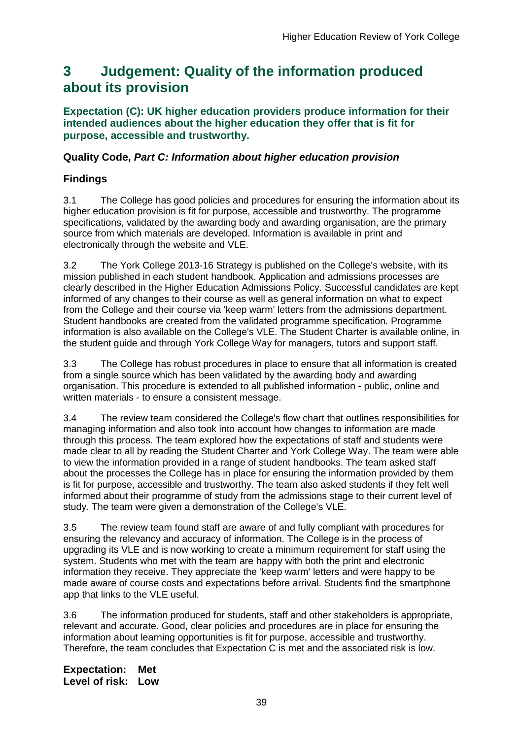## <span id="page-39-0"></span>**3 Judgement: Quality of the information produced about its provision**

**Expectation (C): UK higher education providers produce information for their intended audiences about the higher education they offer that is fit for purpose, accessible and trustworthy.**

#### **Quality Code,** *Part C: Information about higher education provision*

### **Findings**

3.1 The College has good policies and procedures for ensuring the information about its higher education provision is fit for purpose, accessible and trustworthy. The programme specifications, validated by the awarding body and awarding organisation, are the primary source from which materials are developed. Information is available in print and electronically through the website and VLE.

3.2 The York College 2013-16 Strategy is published on the College's website, with its mission published in each student handbook. Application and admissions processes are clearly described in the Higher Education Admissions Policy. Successful candidates are kept informed of any changes to their course as well as general information on what to expect from the College and their course via 'keep warm' letters from the admissions department. Student handbooks are created from the validated programme specification. Programme information is also available on the College's VLE. The Student Charter is available online, in the student guide and through York College Way for managers, tutors and support staff.

3.3 The College has robust procedures in place to ensure that all information is created from a single source which has been validated by the awarding body and awarding organisation. This procedure is extended to all published information - public, online and written materials - to ensure a consistent message.

3.4 The review team considered the College's flow chart that outlines responsibilities for managing information and also took into account how changes to information are made through this process. The team explored how the expectations of staff and students were made clear to all by reading the Student Charter and York College Way. The team were able to view the information provided in a range of student handbooks. The team asked staff about the processes the College has in place for ensuring the information provided by them is fit for purpose, accessible and trustworthy. The team also asked students if they felt well informed about their programme of study from the admissions stage to their current level of study. The team were given a demonstration of the College's VLE.

3.5 The review team found staff are aware of and fully compliant with procedures for ensuring the relevancy and accuracy of information. The College is in the process of upgrading its VLE and is now working to create a minimum requirement for staff using the system. Students who met with the team are happy with both the print and electronic information they receive. They appreciate the 'keep warm' letters and were happy to be made aware of course costs and expectations before arrival. Students find the smartphone app that links to the VLE useful.

3.6 The information produced for students, staff and other stakeholders is appropriate, relevant and accurate. Good, clear policies and procedures are in place for ensuring the information about learning opportunities is fit for purpose, accessible and trustworthy. Therefore, the team concludes that Expectation C is met and the associated risk is low.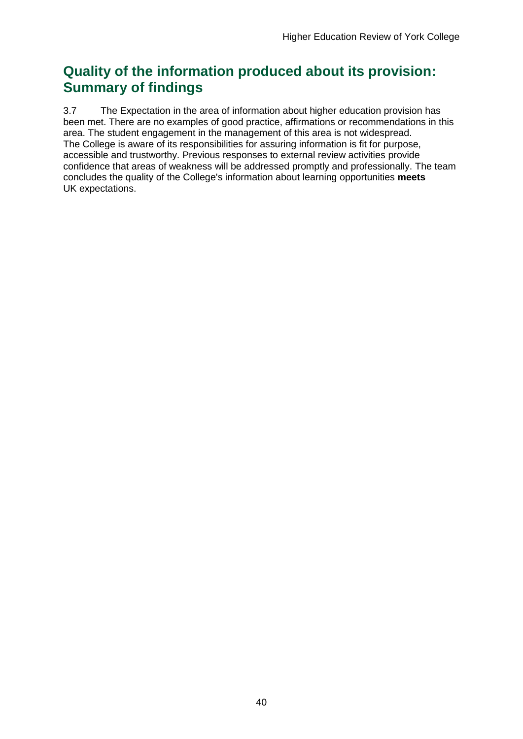## **Quality of the information produced about its provision: Summary of findings**

3.7 The Expectation in the area of information about higher education provision has been met. There are no examples of good practice, affirmations or recommendations in this area. The student engagement in the management of this area is not widespread. The College is aware of its responsibilities for assuring information is fit for purpose, accessible and trustworthy. Previous responses to external review activities provide confidence that areas of weakness will be addressed promptly and professionally. The team concludes the quality of the College's information about learning opportunities **meets** UK expectations.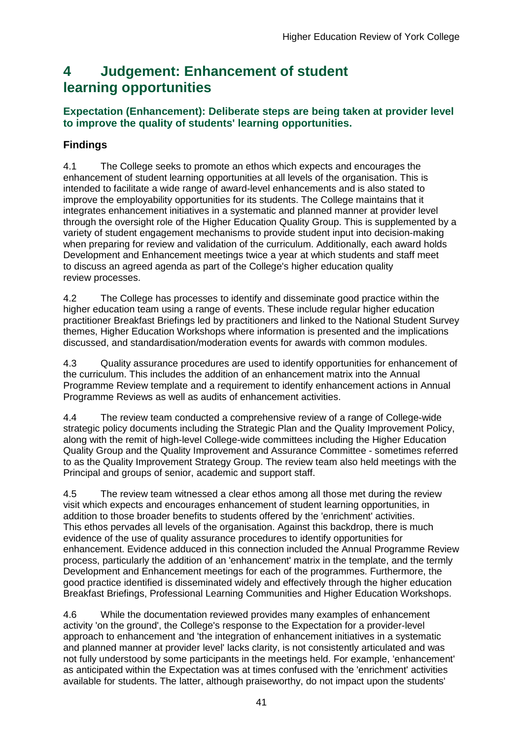## <span id="page-41-0"></span>**4 Judgement: Enhancement of student learning opportunities**

### **Expectation (Enhancement): Deliberate steps are being taken at provider level to improve the quality of students' learning opportunities.**

## **Findings**

4.1 The College seeks to promote an ethos which expects and encourages the enhancement of student learning opportunities at all levels of the organisation. This is intended to facilitate a wide range of award-level enhancements and is also stated to improve the employability opportunities for its students. The College maintains that it integrates enhancement initiatives in a systematic and planned manner at provider level through the oversight role of the Higher Education Quality Group. This is supplemented by a variety of student engagement mechanisms to provide student input into decision-making when preparing for review and validation of the curriculum. Additionally, each award holds Development and Enhancement meetings twice a year at which students and staff meet to discuss an agreed agenda as part of the College's higher education quality review processes.

4.2 The College has processes to identify and disseminate good practice within the higher education team using a range of events. These include regular higher education practitioner Breakfast Briefings led by practitioners and linked to the National Student Survey themes, Higher Education Workshops where information is presented and the implications discussed, and standardisation/moderation events for awards with common modules.

4.3 Quality assurance procedures are used to identify opportunities for enhancement of the curriculum. This includes the addition of an enhancement matrix into the Annual Programme Review template and a requirement to identify enhancement actions in Annual Programme Reviews as well as audits of enhancement activities.

4.4 The review team conducted a comprehensive review of a range of College-wide strategic policy documents including the Strategic Plan and the Quality Improvement Policy, along with the remit of high-level College-wide committees including the Higher Education Quality Group and the Quality Improvement and Assurance Committee - sometimes referred to as the Quality Improvement Strategy Group. The review team also held meetings with the Principal and groups of senior, academic and support staff.

4.5 The review team witnessed a clear ethos among all those met during the review visit which expects and encourages enhancement of student learning opportunities, in addition to those broader benefits to students offered by the 'enrichment' activities. This ethos pervades all levels of the organisation. Against this backdrop, there is much evidence of the use of quality assurance procedures to identify opportunities for enhancement. Evidence adduced in this connection included the Annual Programme Review process, particularly the addition of an 'enhancement' matrix in the template, and the termly Development and Enhancement meetings for each of the programmes. Furthermore, the good practice identified is disseminated widely and effectively through the higher education Breakfast Briefings, Professional Learning Communities and Higher Education Workshops.

4.6 While the documentation reviewed provides many examples of enhancement activity 'on the ground', the College's response to the Expectation for a provider-level approach to enhancement and 'the integration of enhancement initiatives in a systematic and planned manner at provider level' lacks clarity, is not consistently articulated and was not fully understood by some participants in the meetings held. For example, 'enhancement' as anticipated within the Expectation was at times confused with the 'enrichment' activities available for students. The latter, although praiseworthy, do not impact upon the students'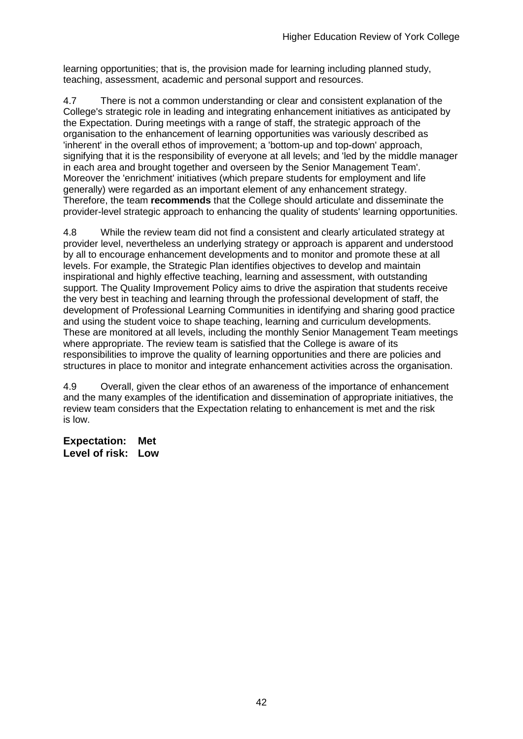learning opportunities; that is, the provision made for learning including planned study, teaching, assessment, academic and personal support and resources.

4.7 There is not a common understanding or clear and consistent explanation of the College's strategic role in leading and integrating enhancement initiatives as anticipated by the Expectation. During meetings with a range of staff, the strategic approach of the organisation to the enhancement of learning opportunities was variously described as 'inherent' in the overall ethos of improvement; a 'bottom-up and top-down' approach, signifying that it is the responsibility of everyone at all levels; and 'led by the middle manager in each area and brought together and overseen by the Senior Management Team'. Moreover the 'enrichment' initiatives (which prepare students for employment and life generally) were regarded as an important element of any enhancement strategy. Therefore, the team **recommends** that the College should articulate and disseminate the provider-level strategic approach to enhancing the quality of students' learning opportunities.

4.8 While the review team did not find a consistent and clearly articulated strategy at provider level, nevertheless an underlying strategy or approach is apparent and understood by all to encourage enhancement developments and to monitor and promote these at all levels. For example, the Strategic Plan identifies objectives to develop and maintain inspirational and highly effective teaching, learning and assessment, with outstanding support. The Quality Improvement Policy aims to drive the aspiration that students receive the very best in teaching and learning through the professional development of staff, the development of Professional Learning Communities in identifying and sharing good practice and using the student voice to shape teaching, learning and curriculum developments. These are monitored at all levels, including the monthly Senior Management Team meetings where appropriate. The review team is satisfied that the College is aware of its responsibilities to improve the quality of learning opportunities and there are policies and structures in place to monitor and integrate enhancement activities across the organisation.

4.9 Overall, given the clear ethos of an awareness of the importance of enhancement and the many examples of the identification and dissemination of appropriate initiatives, the review team considers that the Expectation relating to enhancement is met and the risk is low.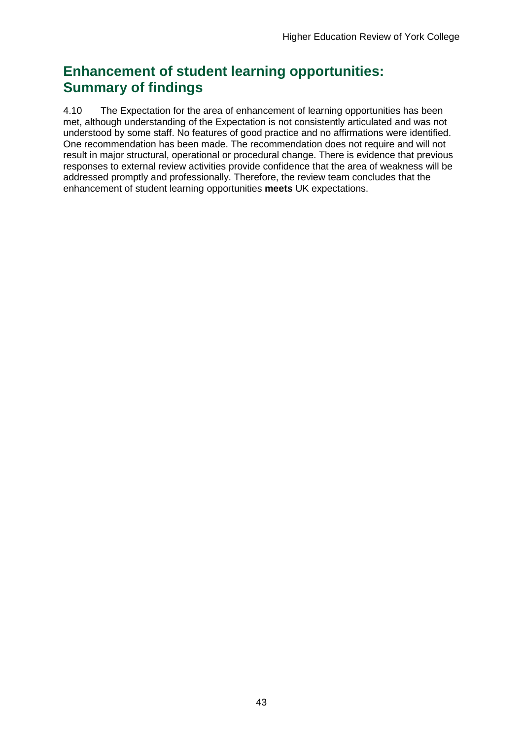## **Enhancement of student learning opportunities: Summary of findings**

4.10 The Expectation for the area of enhancement of learning opportunities has been met, although understanding of the Expectation is not consistently articulated and was not understood by some staff. No features of good practice and no affirmations were identified. One recommendation has been made. The recommendation does not require and will not result in major structural, operational or procedural change. There is evidence that previous responses to external review activities provide confidence that the area of weakness will be addressed promptly and professionally. Therefore, the review team concludes that the enhancement of student learning opportunities **meets** UK expectations.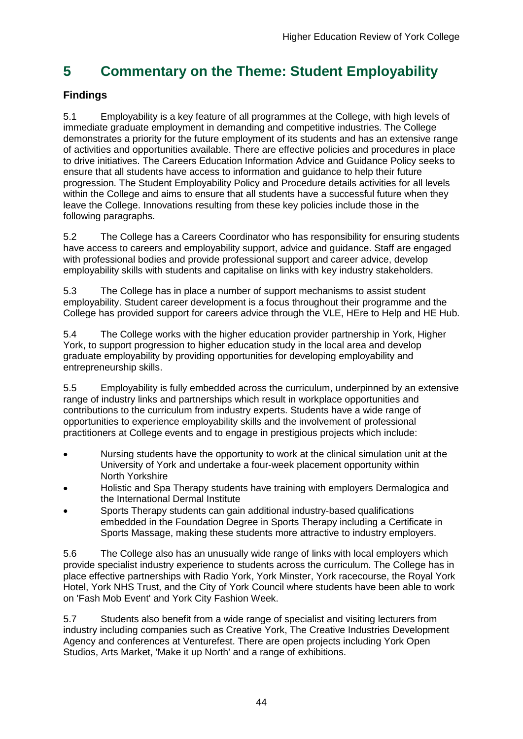## <span id="page-44-0"></span>**5 Commentary on the Theme: Student Employability**

## **Findings**

5.1 Employability is a key feature of all programmes at the College, with high levels of immediate graduate employment in demanding and competitive industries. The College demonstrates a priority for the future employment of its students and has an extensive range of activities and opportunities available. There are effective policies and procedures in place to drive initiatives. The Careers Education Information Advice and Guidance Policy seeks to ensure that all students have access to information and guidance to help their future progression. The Student Employability Policy and Procedure details activities for all levels within the College and aims to ensure that all students have a successful future when they leave the College. Innovations resulting from these key policies include those in the following paragraphs.

5.2 The College has a Careers Coordinator who has responsibility for ensuring students have access to careers and employability support, advice and guidance. Staff are engaged with professional bodies and provide professional support and career advice, develop employability skills with students and capitalise on links with key industry stakeholders.

5.3 The College has in place a number of support mechanisms to assist student employability. Student career development is a focus throughout their programme and the College has provided support for careers advice through the VLE, HEre to Help and HE Hub.

5.4 The College works with the higher education provider partnership in York, Higher York, to support progression to higher education study in the local area and develop graduate employability by providing opportunities for developing employability and entrepreneurship skills.

5.5 Employability is fully embedded across the curriculum, underpinned by an extensive range of industry links and partnerships which result in workplace opportunities and contributions to the curriculum from industry experts. Students have a wide range of opportunities to experience employability skills and the involvement of professional practitioners at College events and to engage in prestigious projects which include:

- Nursing students have the opportunity to work at the clinical simulation unit at the University of York and undertake a four-week placement opportunity within North Yorkshire
- Holistic and Spa Therapy students have training with employers Dermalogica and the International Dermal Institute
- Sports Therapy students can gain additional industry-based qualifications embedded in the Foundation Degree in Sports Therapy including a Certificate in Sports Massage, making these students more attractive to industry employers.

5.6 The College also has an unusually wide range of links with local employers which provide specialist industry experience to students across the curriculum. The College has in place effective partnerships with Radio York, York Minster, York racecourse, the Royal York Hotel, York NHS Trust, and the City of York Council where students have been able to work on 'Fash Mob Event' and York City Fashion Week.

5.7 Students also benefit from a wide range of specialist and visiting lecturers from industry including companies such as Creative York, The Creative Industries Development Agency and conferences at Venturefest. There are open projects including York Open Studios, Arts Market, 'Make it up North' and a range of exhibitions.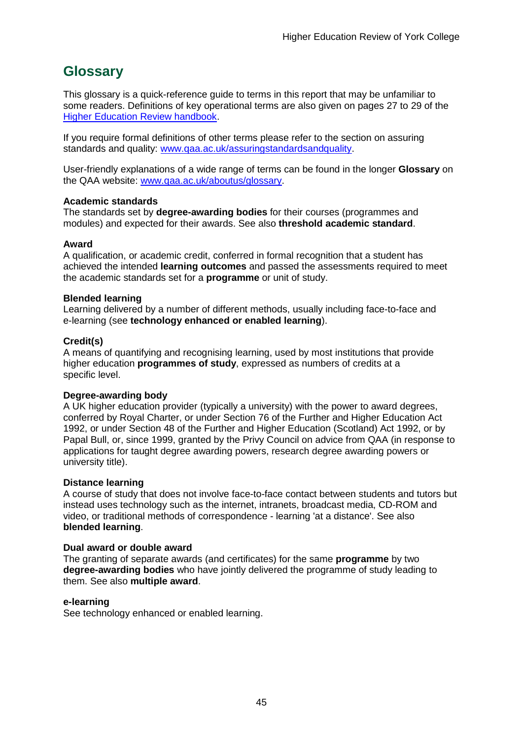## <span id="page-45-0"></span>**Glossary**

This glossary is a quick-reference guide to terms in this report that may be unfamiliar to some readers. Definitions of key operational terms are also given on pages 27 to 29 of the Higher Education Review [handbook.](http://www.qaa.ac.uk/Publications/InformationAndGuidance/Pages/HER-handbook-13.aspx)

If you require formal definitions of other terms please refer to the section on assuring standards and quality: [www.qaa.ac.uk/assuringstandardsandquality.](http://www.qaa.ac.uk/assuringstandardsandquality/pages/default.aspx)

User-friendly explanations of a wide range of terms can be found in the longer **Glossary** on the QAA website: [www.qaa.ac.uk/aboutus/glossary.](http://www.qaa.ac.uk/aboutus/glossary/pages/default.aspx)

#### **Academic standards**

The standards set by **degree-awarding bodies** for their courses (programmes and modules) and expected for their awards. See also **threshold academic standard**.

#### **Award**

A qualification, or academic credit, conferred in formal recognition that a student has achieved the intended **learning outcomes** and passed the assessments required to meet the academic standards set for a **programme** or unit of study.

#### **Blended learning**

Learning delivered by a number of different methods, usually including face-to-face and e-learning (see **[technology](http://www.qaa.ac.uk/AboutUs/glossary/Pages/glossary-t.aspx#t1) enhanced or enabled learning**).

#### **Credit(s)**

A means of quantifying and recognising learning, used by most institutions that provide higher education **programmes of study**, expressed as numbers of credits at a specific level.

#### **Degree-awarding body**

A UK higher [education](http://newlive.qaa.ac.uk/AboutUs/glossary/Pages/glossary-h.aspx#h2.1) provider (typically a [university\)](http://newlive.qaa.ac.uk/AboutUs/glossary/Pages/glossary-u-z.aspx#u4) with the power to award degrees, conferred by Royal Charter, or under Section 76 of the Further and Higher Education Act 1992, or under Section 48 of the Further and Higher Education (Scotland) Act 1992, or by Papal Bull, or, since 1999, granted by the Privy Council on advice from QAA (in response to applications for taught degree [awarding](http://newlive.qaa.ac.uk/AboutUs/DAP/Pages/default.aspx) powers, research degree awarding powers or [university](http://newlive.qaa.ac.uk/AboutUs/DAP/Pages/default.aspx) title).

#### **Distance learning**

A course of study that does not involve face-to-face contact between students and tutors but instead uses technology such as the internet, intranets, broadcast media, CD-ROM and video, or traditional methods of correspondence - learning 'at a distance'. See also **blended learning**.

#### **Dual award or double award**

The granting of separate awards (and certificates) for the same **programme** by two **degree-awarding bodies** who have jointly delivered the programme of study leading to them. See also **multiple award**.

#### **e-learning**

See technology enhanced or enabled learning.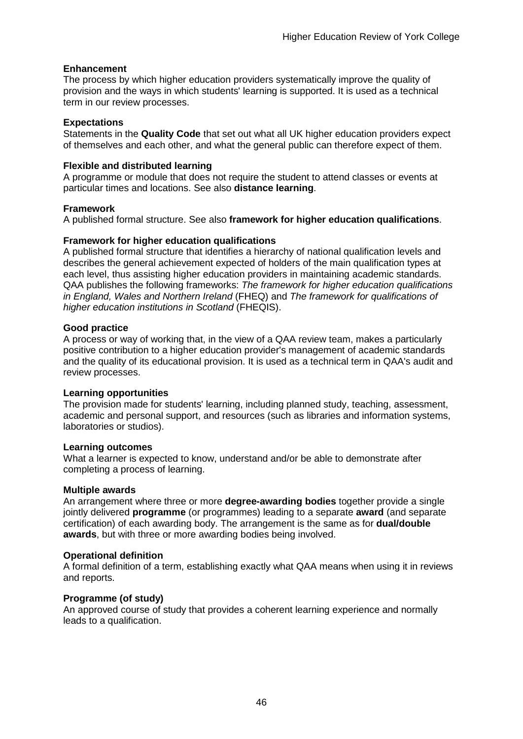#### **Enhancement**

The process by which higher [education](http://www.qaa.ac.uk/AboutUs/glossary/Pages/glossary-h.aspx#h2.1) providers systematically improve the quality of provision and the ways in which students' learning is supported. It is used as a technical term in our review processes.

#### **Expectations**

Statements in the **Quality Code** that set out what all UK higher [education](http://newlive.qaa.ac.uk/AboutUs/glossary/Pages/glossary-h.aspx#h2.1) providers expect of themselves and each other, and what the general public can therefore expect of them.

#### **Flexible and distributed learning**

A [programme](http://newlive.qaa.ac.uk/AboutUs/glossary/Pages/glossary-p.aspx#p12) or [module](http://newlive.qaa.ac.uk/AboutUs/glossary/Pages/glossary-m-o.aspx#m6) that does not require the student to attend classes or events at particular times and locations. See also **distance learning**.

#### **Framework**

A published formal structure. See also **framework for higher education qualifications**.

#### **Framework for higher education qualifications**

A published formal structure that identifies a hierarchy of national qualification levels and describes the general achievement expected of holders of the main qualification types at each level, thus assisting higher education providers in maintaining academic standards. QAA publishes the following frameworks: *The framework for higher education qualifications in England, Wales and Northern Ireland* (FHEQ) and *The framework for qualifications of higher education institutions in Scotland* (FHEQIS).

#### **Good practice**

A process or way of working that, in the view of a QAA review team, makes a particularly positive contribution to a higher education provider's management of academic standards and the quality of its educational provision. It is used as a technical term in QAA's audit and review processes.

#### **Learning opportunities**

The provision made for students' learning, including planned study, teaching, assessment, academic and personal support, and resources (such as libraries and information systems, laboratories or studios).

#### **Learning outcomes**

What a learner is expected to know, understand and/or be able to demonstrate after completing a process of learning.

#### **Multiple awards**

An arrangement where three or more **degree-awarding bodies** together provide a single jointly delivered **programme** (or programmes) leading to a separate **award** (and separate certification) of each awarding body. The arrangement is the same as for **dual/double awards**, but with three or more awarding bodies being involved.

#### **Operational definition**

A formal definition of a term, establishing exactly what QAA means when using it in reviews and reports.

#### **Programme (of study)**

An approved course of study that provides a coherent learning experience and normally leads to a qualification.